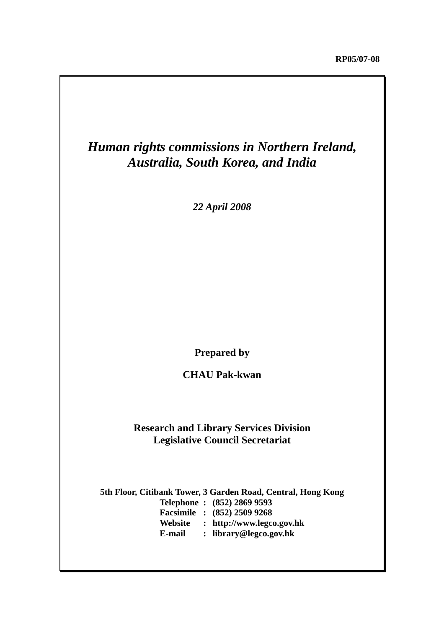# *Human rights commissions in Northern Ireland, Australia, South Korea, and India*

*22 April 2008*

**Prepared by** 

**CHAU Pak-kwan** 

**Research and Library Services Division Legislative Council Secretariat**

**5th Floor, Citibank Tower, 3 Garden Road, Central, Hong Kong Telephone : (852) 2869 9593 Facsimile : (852) 2509 9268 Website : http://www.legco.gov.hk E-mail : library@legco.gov.hk**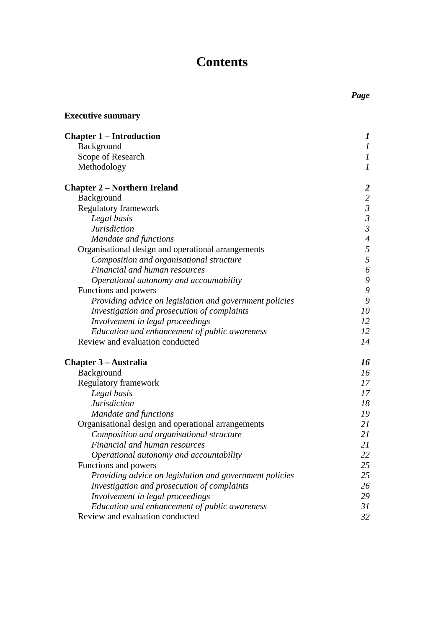# **Contents**

| <b>Executive summary</b>                                |                                            |
|---------------------------------------------------------|--------------------------------------------|
| <b>Chapter 1 – Introduction</b>                         | 1                                          |
| Background                                              | $\boldsymbol{l}$                           |
| Scope of Research                                       | $\cal I$                                   |
| Methodology                                             | $\boldsymbol{l}$                           |
| <b>Chapter 2 - Northern Ireland</b>                     | $\boldsymbol{2}$                           |
| Background                                              |                                            |
| <b>Regulatory framework</b>                             | $\begin{array}{c} 2 \\ 3 \\ 3 \end{array}$ |
| Legal basis                                             |                                            |
| <b>Jurisdiction</b>                                     | $\mathfrak{Z}$                             |
| Mandate and functions                                   | $\overline{4}$                             |
| Organisational design and operational arrangements      | 5                                          |
| Composition and organisational structure                | $\overline{5}$                             |
| Financial and human resources                           | 6                                          |
| Operational autonomy and accountability                 | 9                                          |
| Functions and powers                                    | 9                                          |
| Providing advice on legislation and government policies | 9                                          |
| Investigation and prosecution of complaints             | 10                                         |
| Involvement in legal proceedings                        | 12                                         |
| Education and enhancement of public awareness           | 12                                         |
| Review and evaluation conducted                         | 14                                         |
| <b>Chapter 3 – Australia</b>                            | 16                                         |
| Background                                              | 16                                         |
| <b>Regulatory framework</b>                             | 17                                         |
| Legal basis                                             | 17                                         |
| <b>Jurisdiction</b>                                     | 18                                         |
| Mandate and functions                                   | 19                                         |
| Organisational design and operational arrangements      | 21                                         |
| Composition and organisational structure                | 21                                         |
| Financial and human resources                           | 21                                         |
| Operational autonomy and accountability                 | 22                                         |
| Functions and powers                                    | 25                                         |
| Providing advice on legislation and government policies | 25                                         |
| Investigation and prosecution of complaints             | 26                                         |
| Involvement in legal proceedings                        | 29                                         |
| Education and enhancement of public awareness           | 31                                         |
| Review and evaluation conducted                         | 32                                         |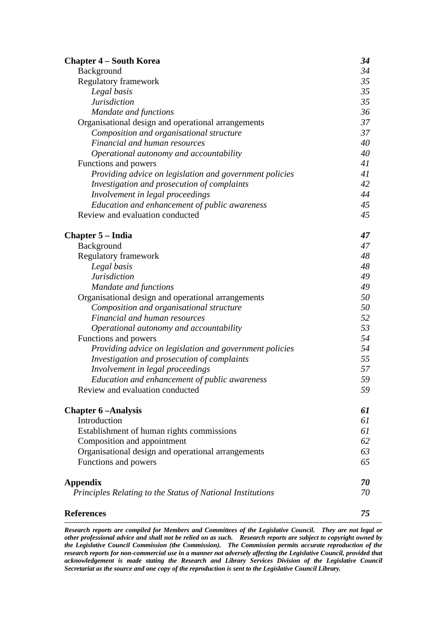| <b>Chapter 4 – South Korea</b>                             | 34 |
|------------------------------------------------------------|----|
| Background                                                 | 34 |
| <b>Regulatory framework</b>                                | 35 |
| Legal basis                                                | 35 |
| <b>Jurisdiction</b>                                        | 35 |
| Mandate and functions                                      | 36 |
| Organisational design and operational arrangements         | 37 |
| Composition and organisational structure                   | 37 |
| Financial and human resources                              | 40 |
| Operational autonomy and accountability                    | 40 |
| Functions and powers                                       | 41 |
| Providing advice on legislation and government policies    | 41 |
| Investigation and prosecution of complaints                | 42 |
| Involvement in legal proceedings                           | 44 |
| Education and enhancement of public awareness              | 45 |
| Review and evaluation conducted                            | 45 |
| <b>Chapter 5 – India</b>                                   | 47 |
| Background                                                 | 47 |
| <b>Regulatory framework</b>                                | 48 |
| Legal basis                                                | 48 |
| <b>Jurisdiction</b>                                        | 49 |
| Mandate and functions                                      | 49 |
| Organisational design and operational arrangements         | 50 |
| Composition and organisational structure                   | 50 |
| Financial and human resources                              | 52 |
| Operational autonomy and accountability                    | 53 |
| Functions and powers                                       | 54 |
| Providing advice on legislation and government policies    | 54 |
| Investigation and prosecution of complaints                | 55 |
| Involvement in legal proceedings                           | 57 |
| Education and enhancement of public awareness              | 59 |
| Review and evaluation conducted                            | 59 |
| <b>Chapter 6-Analysis</b>                                  | 61 |
| Introduction                                               | 61 |
| Establishment of human rights commissions                  | 61 |
| Composition and appointment                                | 62 |
| Organisational design and operational arrangements         | 63 |
| Functions and powers                                       | 65 |
| <b>Appendix</b>                                            | 70 |
| Principles Relating to the Status of National Institutions | 70 |
| <b>References</b>                                          | 75 |

*Research reports are compiled for Members and Committees of the Legislative Council. They are not legal or other professional advice and shall not be relied on as such. Research reports are subject to copyright owned by the Legislative Council Commission (the Commission). The Commission permits accurate reproduction of the research reports for non-commercial use in a manner not adversely affecting the Legislative Council, provided that acknowledgement is made stating the Research and Library Services Division of the Legislative Council Secretariat as the source and one copy of the reproduction is sent to the Legislative Council Library.*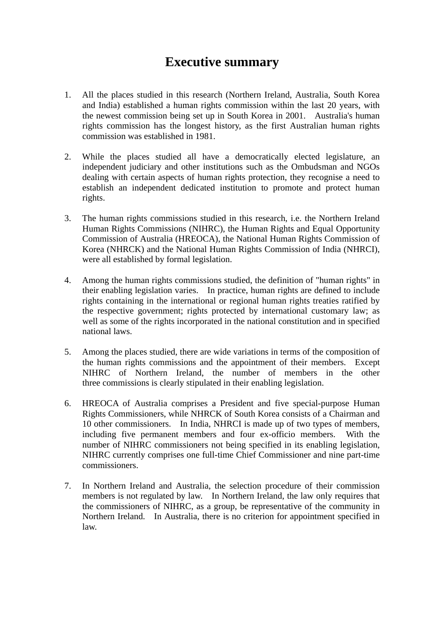# **Executive summary**

- 1. All the places studied in this research (Northern Ireland, Australia, South Korea and India) established a human rights commission within the last 20 years, with the newest commission being set up in South Korea in 2001. Australia's human rights commission has the longest history, as the first Australian human rights commission was established in 1981.
- 2. While the places studied all have a democratically elected legislature, an independent judiciary and other institutions such as the Ombudsman and NGOs dealing with certain aspects of human rights protection, they recognise a need to establish an independent dedicated institution to promote and protect human rights.
- 3. The human rights commissions studied in this research, i.e. the Northern Ireland Human Rights Commissions (NIHRC), the Human Rights and Equal Opportunity Commission of Australia (HREOCA), the National Human Rights Commission of Korea (NHRCK) and the National Human Rights Commission of India (NHRCI), were all established by formal legislation.
- 4. Among the human rights commissions studied, the definition of "human rights" in their enabling legislation varies. In practice, human rights are defined to include rights containing in the international or regional human rights treaties ratified by the respective government; rights protected by international customary law; as well as some of the rights incorporated in the national constitution and in specified national laws.
- 5. Among the places studied, there are wide variations in terms of the composition of the human rights commissions and the appointment of their members. Except NIHRC of Northern Ireland, the number of members in the other three commissions is clearly stipulated in their enabling legislation.
- 6. HREOCA of Australia comprises a President and five special-purpose Human Rights Commissioners, while NHRCK of South Korea consists of a Chairman and 10 other commissioners. In India, NHRCI is made up of two types of members, including five permanent members and four ex-officio members. With the number of NIHRC commissioners not being specified in its enabling legislation, NIHRC currently comprises one full-time Chief Commissioner and nine part-time commissioners.
- 7. In Northern Ireland and Australia, the selection procedure of their commission members is not regulated by law. In Northern Ireland, the law only requires that the commissioners of NIHRC, as a group, be representative of the community in Northern Ireland. In Australia, there is no criterion for appointment specified in law.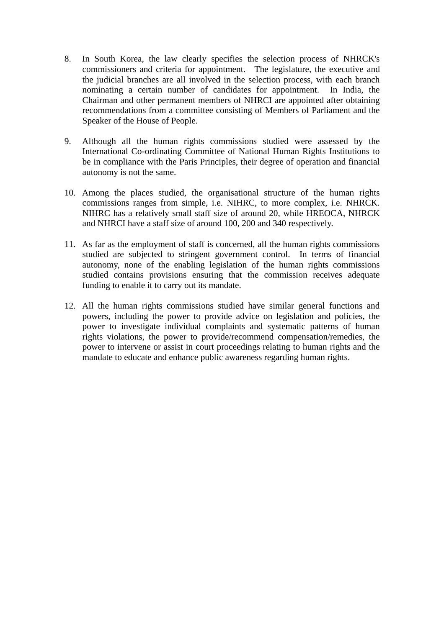- 8. In South Korea, the law clearly specifies the selection process of NHRCK's commissioners and criteria for appointment. The legislature, the executive and the judicial branches are all involved in the selection process, with each branch nominating a certain number of candidates for appointment. In India, the Chairman and other permanent members of NHRCI are appointed after obtaining recommendations from a committee consisting of Members of Parliament and the Speaker of the House of People.
- 9. Although all the human rights commissions studied were assessed by the International Co-ordinating Committee of National Human Rights Institutions to be in compliance with the Paris Principles, their degree of operation and financial autonomy is not the same.
- 10. Among the places studied, the organisational structure of the human rights commissions ranges from simple, i.e. NIHRC, to more complex, i.e. NHRCK. NIHRC has a relatively small staff size of around 20, while HREOCA, NHRCK and NHRCI have a staff size of around 100, 200 and 340 respectively.
- 11. As far as the employment of staff is concerned, all the human rights commissions studied are subjected to stringent government control. In terms of financial autonomy, none of the enabling legislation of the human rights commissions studied contains provisions ensuring that the commission receives adequate funding to enable it to carry out its mandate.
- 12. All the human rights commissions studied have similar general functions and powers, including the power to provide advice on legislation and policies, the power to investigate individual complaints and systematic patterns of human rights violations, the power to provide/recommend compensation/remedies, the power to intervene or assist in court proceedings relating to human rights and the mandate to educate and enhance public awareness regarding human rights.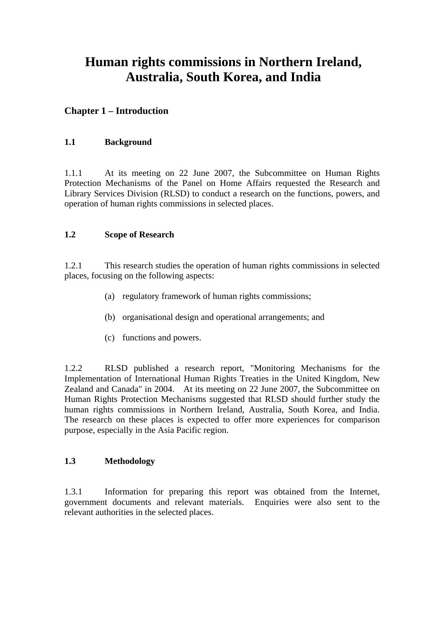# **Human rights commissions in Northern Ireland, Australia, South Korea, and India**

# **Chapter 1 – Introduction**

# **1.1 Background**

1.1.1 At its meeting on 22 June 2007, the Subcommittee on Human Rights Protection Mechanisms of the Panel on Home Affairs requested the Research and Library Services Division (RLSD) to conduct a research on the functions, powers, and operation of human rights commissions in selected places.

# **1.2 Scope of Research**

1.2.1 This research studies the operation of human rights commissions in selected places, focusing on the following aspects:

- (a) regulatory framework of human rights commissions;
- (b) organisational design and operational arrangements; and
- (c) functions and powers.

1.2.2 RLSD published a research report, "Monitoring Mechanisms for the Implementation of International Human Rights Treaties in the United Kingdom, New Zealand and Canada" in 2004. At its meeting on 22 June 2007, the Subcommittee on Human Rights Protection Mechanisms suggested that RLSD should further study the human rights commissions in Northern Ireland, Australia, South Korea, and India. The research on these places is expected to offer more experiences for comparison purpose, especially in the Asia Pacific region.

## **1.3 Methodology**

1.3.1 Information for preparing this report was obtained from the Internet, government documents and relevant materials. Enquiries were also sent to the relevant authorities in the selected places.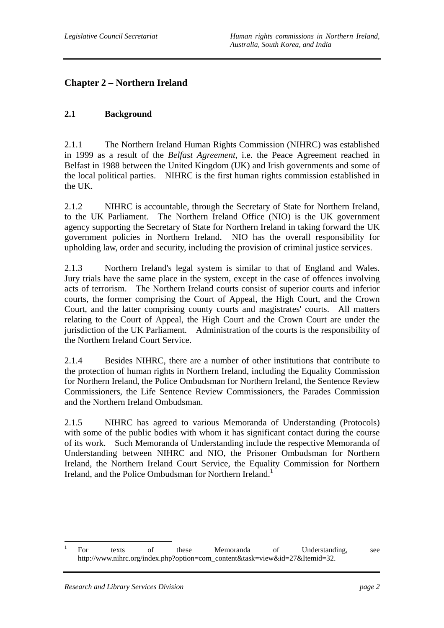# **Chapter 2 – Northern Ireland**

## **2.1 Background**

2.1.1 The Northern Ireland Human Rights Commission (NIHRC) was established in 1999 as a result of the *Belfast Agreement*, i.e. the Peace Agreement reached in Belfast in 1988 between the United Kingdom (UK) and Irish governments and some of the local political parties. NIHRC is the first human rights commission established in the UK.

2.1.2 NIHRC is accountable, through the Secretary of State for Northern Ireland, to the UK Parliament. The Northern Ireland Office (NIO) is the UK government agency supporting the Secretary of State for Northern Ireland in taking forward the UK government policies in Northern Ireland. NIO has the overall responsibility for upholding law, order and security, including the provision of criminal justice services.

2.1.3 Northern Ireland's legal system is similar to that of England and Wales. Jury trials have the same place in the system, except in the case of offences involving acts of terrorism. The Northern Ireland courts consist of superior courts and inferior courts, the former comprising the Court of Appeal, the High Court, and the Crown Court, and the latter comprising county courts and magistrates' courts. All matters relating to the Court of Appeal, the High Court and the Crown Court are under the jurisdiction of the UK Parliament. Administration of the courts is the responsibility of the Northern Ireland Court Service.

2.1.4 Besides NIHRC, there are a number of other institutions that contribute to the protection of human rights in Northern Ireland, including the Equality Commission for Northern Ireland, the Police Ombudsman for Northern Ireland, the Sentence Review Commissioners, the Life Sentence Review Commissioners, the Parades Commission and the Northern Ireland Ombudsman.

2.1.5 NIHRC has agreed to various Memoranda of Understanding (Protocols) with some of the public bodies with whom it has significant contact during the course of its work. Such Memoranda of Understanding include the respective Memoranda of Understanding between NIHRC and NIO, the Prisoner Ombudsman for Northern Ireland, the Northern Ireland Court Service, the Equality Commission for Northern Ireland, and the Police Ombudsman for Northern Ireland.<sup>1</sup>

 $\overline{a}$ 

<sup>1</sup> For texts of these Memoranda of Understanding, see http://www.nihrc.org/index.php?option=com\_content&task=view&id=27&Itemid=32.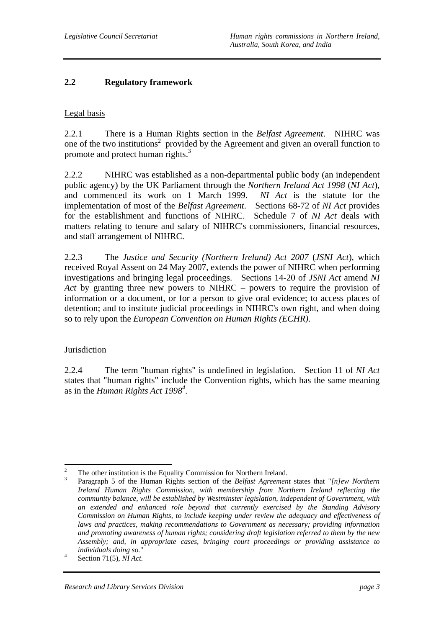## **2.2 Regulatory framework**

## Legal basis

2.2.1 There is a Human Rights section in the *Belfast Agreement*. NIHRC was one of the two institutions<sup>2</sup> provided by the Agreement and given an overall function to promote and protect human rights.<sup>3</sup>

2.2.2 NIHRC was established as a non-departmental public body (an independent public agency) by the UK Parliament through the *Northern Ireland Act 1998* (*NI Act*), and commenced its work on 1 March 1999. *NI Act* is the statute for the implementation of most of the *Belfast Agreement*. Sections 68-72 of *NI Act* provides for the establishment and functions of NIHRC. Schedule 7 of *NI Act* deals with matters relating to tenure and salary of NIHRC's commissioners, financial resources, and staff arrangement of NIHRC.

2.2.3 The *Justice and Security (Northern Ireland) Act 2007* (*JSNI Act*), which received Royal Assent on 24 May 2007, extends the power of NIHRC when performing investigations and bringing legal proceedings. Sections 14-20 of *JSNI Act* amend *NI Act* by granting three new powers to NIHRC – powers to require the provision of information or a document, or for a person to give oral evidence; to access places of detention; and to institute judicial proceedings in NIHRC's own right, and when doing so to rely upon the *European Convention on Human Rights (ECHR)*.

## **Jurisdiction**

 $\overline{a}$ 

2.2.4 The term "human rights" is undefined in legislation. Section 11 of *NI Act* states that "human rights" include the Convention rights, which has the same meaning as in the *Human Rights Act 19984* .

<sup>2</sup> The other institution is the Equality Commission for Northern Ireland.

<sup>3</sup> Paragraph 5 of the Human Rights section of the *Belfast Agreement* states that "*[n]ew Northern Ireland Human Rights Commission, with membership from Northern Ireland reflecting the community balance, will be established by Westminster legislation, independent of Government, with an extended and enhanced role beyond that currently exercised by the Standing Advisory Commission on Human Rights, to include keeping under review the adequacy and effectiveness of laws and practices, making recommendations to Government as necessary; providing information and promoting awareness of human rights; considering draft legislation referred to them by the new Assembly; and, in appropriate cases, bringing court proceedings or providing assistance to*  individuals doing so."

Section 71(5), *NI Act.*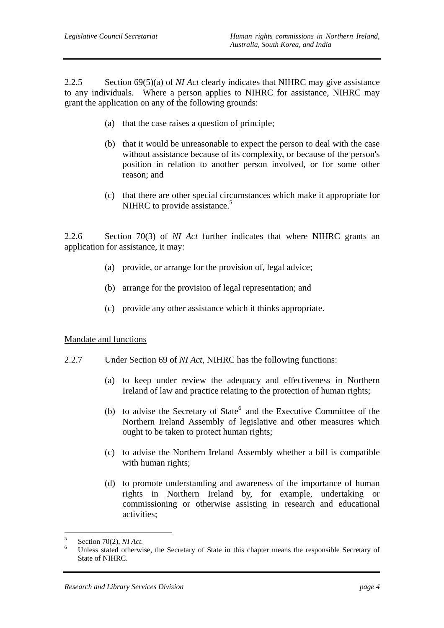2.2.5 Section 69(5)(a) of *NI Act* clearly indicates that NIHRC may give assistance to any individuals. Where a person applies to NIHRC for assistance, NIHRC may grant the application on any of the following grounds:

- (a) that the case raises a question of principle;
- (b) that it would be unreasonable to expect the person to deal with the case without assistance because of its complexity, or because of the person's position in relation to another person involved, or for some other reason; and
- (c) that there are other special circumstances which make it appropriate for NIHRC to provide assistance.<sup>5</sup>

2.2.6 Section 70(3) of *NI Act* further indicates that where NIHRC grants an application for assistance, it may:

- (a) provide, or arrange for the provision of, legal advice;
- (b) arrange for the provision of legal representation; and
- (c) provide any other assistance which it thinks appropriate.

## Mandate and functions

- 2.2.7 Under Section 69 of *NI Act*, NIHRC has the following functions:
	- (a) to keep under review the adequacy and effectiveness in Northern Ireland of law and practice relating to the protection of human rights;
	- (b) to advise the Secretary of State<sup>6</sup> and the Executive Committee of the Northern Ireland Assembly of legislative and other measures which ought to be taken to protect human rights;
	- (c) to advise the Northern Ireland Assembly whether a bill is compatible with human rights;
	- (d) to promote understanding and awareness of the importance of human rights in Northern Ireland by, for example, undertaking or commissioning or otherwise assisting in research and educational activities;

 $\frac{1}{5}$ Section 70(2), *NI Act.* <sup>6</sup>

Unless stated otherwise, the Secretary of State in this chapter means the responsible Secretary of State of NIHRC.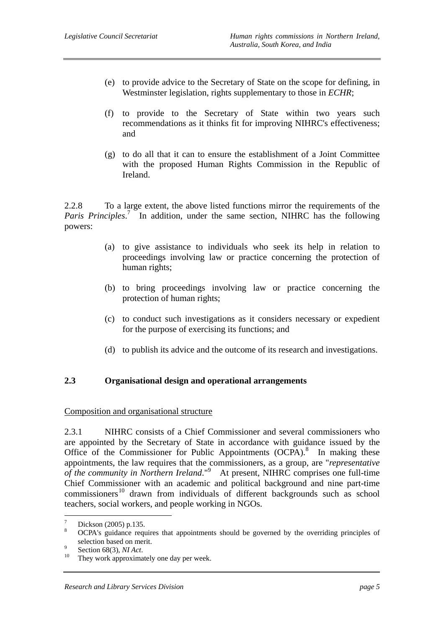- (e) to provide advice to the Secretary of State on the scope for defining, in Westminster legislation, rights supplementary to those in *ECHR*;
- (f) to provide to the Secretary of State within two years such recommendations as it thinks fit for improving NIHRC's effectiveness; and
- (g) to do all that it can to ensure the establishment of a Joint Committee with the proposed Human Rights Commission in the Republic of Ireland.

2.2.8 To a large extent, the above listed functions mirror the requirements of the Paris Principles.<sup>7</sup> In addition, under the same section, NIHRC has the following powers:

- (a) to give assistance to individuals who seek its help in relation to proceedings involving law or practice concerning the protection of human rights;
- (b) to bring proceedings involving law or practice concerning the protection of human rights;
- (c) to conduct such investigations as it considers necessary or expedient for the purpose of exercising its functions; and
- (d) to publish its advice and the outcome of its research and investigations.

## **2.3 Organisational design and operational arrangements**

## Composition and organisational structure

2.3.1 NIHRC consists of a Chief Commissioner and several commissioners who are appointed by the Secretary of State in accordance with guidance issued by the Office of the Commissioner for Public Appointments (OCPA).<sup>8</sup> In making these appointments, the law requires that the commissioners, as a group, are "*representative of the community in Northern Ireland*."<sup>9</sup> At present, NIHRC comprises one full-time Chief Commissioner with an academic and political background and nine part-time  $commissioners<sup>10</sup>$  drawn from individuals of different backgrounds such as school teachers, social workers, and people working in NGOs.

<sup>—&</sup>lt;br>7 Dickson (2005) p.135.

<sup>8</sup> OCPA's guidance requires that appointments should be governed by the overriding principles of selection based on merit.<br>Section  $68(3)$ , NI Act.

<sup>&</sup>lt;sup>10</sup> They work approximately one day per week.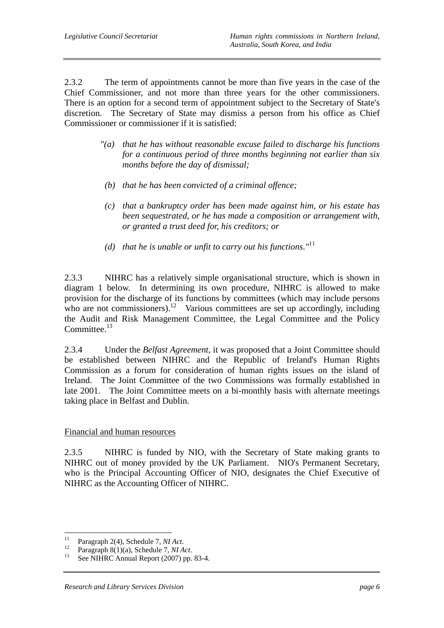2.3.2 The term of appointments cannot be more than five years in the case of the Chief Commissioner, and not more than three years for the other commissioners. There is an option for a second term of appointment subject to the Secretary of State's discretion. The Secretary of State may dismiss a person from his office as Chief Commissioner or commissioner if it is satisfied:

- *"(a) that he has without reasonable excuse failed to discharge his functions for a continuous period of three months beginning not earlier than six months before the day of dismissal;*
- *(b) that he has been convicted of a criminal offence;*
- *(c) that a bankruptcy order has been made against him, or his estate has been sequestrated, or he has made a composition or arrangement with, or granted a trust deed for, his creditors; or*
- *(d) that he is unable or unfit to carry out his functions."*<sup>11</sup>

2.3.3 NIHRC has a relatively simple organisational structure, which is shown in diagram 1 below. In determining its own procedure, NIHRC is allowed to make provision for the discharge of its functions by committees (which may include persons who are not commissioners).<sup>12</sup> Various committees are set up accordingly, including the Audit and Risk Management Committee, the Legal Committee and the Policy Committee.<sup>13</sup>

2.3.4 Under the *Belfast Agreement*, it was proposed that a Joint Committee should be established between NIHRC and the Republic of Ireland's Human Rights Commission as a forum for consideration of human rights issues on the island of Ireland. The Joint Committee of the two Commissions was formally established in late 2001. The Joint Committee meets on a bi-monthly basis with alternate meetings taking place in Belfast and Dublin.

## Financial and human resources

2.3.5 NIHRC is funded by NIO, with the Secretary of State making grants to NIHRC out of money provided by the UK Parliament. NIO's Permanent Secretary, who is the Principal Accounting Officer of NIO, designates the Chief Executive of NIHRC as the Accounting Officer of NIHRC.

 $11$ 

<sup>&</sup>lt;sup>11</sup> Paragraph 2(4), Schedule 7, *NI Act*.<br><sup>12</sup> Paragraph 8(1)(a), Schedule 7, *NI Act*.<br><sup>13</sup> See NIHRC Annual Report (2007) pp. 83-4.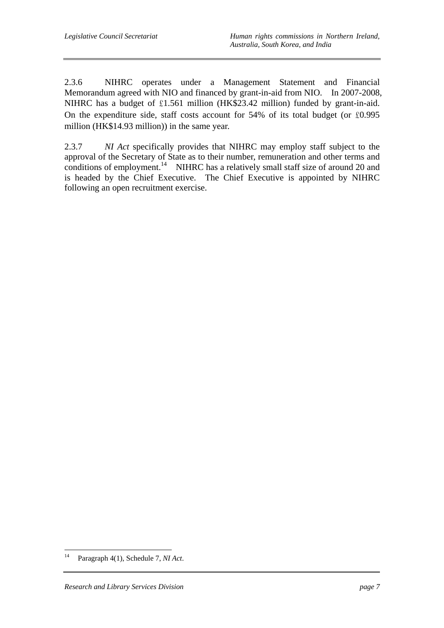2.3.6 NIHRC operates under a Management Statement and Financial Memorandum agreed with NIO and financed by grant-in-aid from NIO. In 2007-2008, NIHRC has a budget of £1.561 million (HK\$23.42 million) funded by grant-in-aid. On the expenditure side, staff costs account for 54% of its total budget (or £0.995 million (HK\$14.93 million)) in the same year.

2.3.7 *NI Act* specifically provides that NIHRC may employ staff subject to the approval of the Secretary of State as to their number, remuneration and other terms and conditions of employment.<sup>14</sup> NIHRC has a relatively small staff size of around 20 and is headed by the Chief Executive. The Chief Executive is appointed by NIHRC following an open recruitment exercise.

 $14$ Paragraph 4(1), Schedule 7, *NI Act*.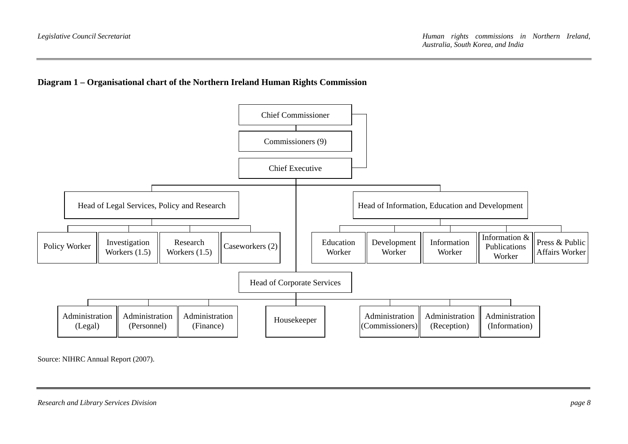



Source: NIHRC Annual Report (2007).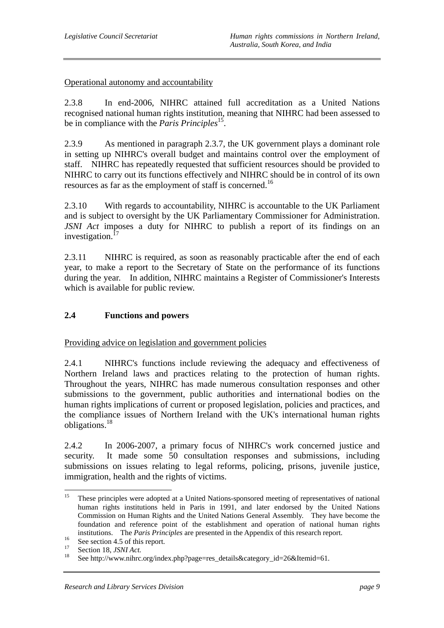## Operational autonomy and accountability

2.3.8 In end-2006, NIHRC attained full accreditation as a United Nations recognised national human rights institution, meaning that NIHRC had been assessed to be in compliance with the *Paris Principles*<sup>15</sup>.

2.3.9 As mentioned in paragraph 2.3.7, the UK government plays a dominant role in setting up NIHRC's overall budget and maintains control over the employment of staff. NIHRC has repeatedly requested that sufficient resources should be provided to NIHRC to carry out its functions effectively and NIHRC should be in control of its own resources as far as the employment of staff is concerned.16

2.3.10 With regards to accountability, NIHRC is accountable to the UK Parliament and is subject to oversight by the UK Parliamentary Commissioner for Administration. *JSNI Act* imposes a duty for NIHRC to publish a report of its findings on an investigation.<sup>17</sup>

2.3.11 NIHRC is required, as soon as reasonably practicable after the end of each year, to make a report to the Secretary of State on the performance of its functions during the year. In addition, NIHRC maintains a Register of Commissioner's Interests which is available for public review.

## **2.4 Functions and powers**

Providing advice on legislation and government policies

2.4.1 NIHRC's functions include reviewing the adequacy and effectiveness of Northern Ireland laws and practices relating to the protection of human rights. Throughout the years, NIHRC has made numerous consultation responses and other submissions to the government, public authorities and international bodies on the human rights implications of current or proposed legislation, policies and practices, and the compliance issues of Northern Ireland with the UK's international human rights obligations.18

2.4.2 In 2006-2007, a primary focus of NIHRC's work concerned justice and security. It made some 50 consultation responses and submissions, including submissions on issues relating to legal reforms, policing, prisons, juvenile justice, immigration, health and the rights of victims.

 $15<sup>7</sup>$ 15 These principles were adopted at a United Nations-sponsored meeting of representatives of national human rights institutions held in Paris in 1991, and later endorsed by the United Nations Commission on Human Rights and the United Nations General Assembly. They have become the foundation and reference point of the establishment and operation of national human rights institutions. The *Paris Principles* are presented in the Appendix of this research report.<br><sup>16</sup> See section 4.5 of this report.<br><sup>17</sup> Section 18, ISM A if

<sup>&</sup>lt;sup>17</sup> Section 18, *JSNI Act*.<br><sup>18</sup> See http://www.nihrc.org/index.php?page=res\_details&category\_id=26&Itemid=61.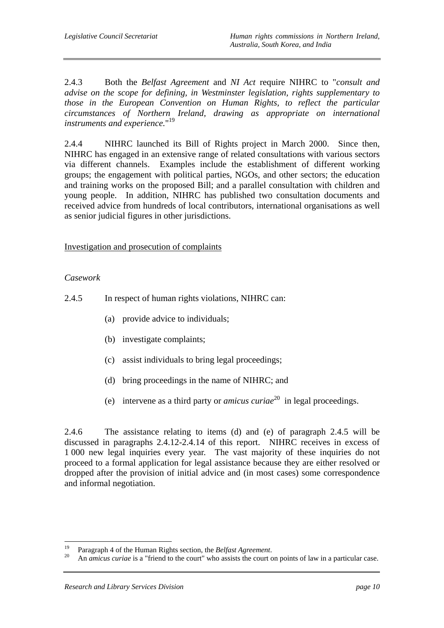2.4.3 Both the *Belfast Agreement* and *NI Act* require NIHRC to "*consult and advise on the scope for defining, in Westminster legislation, rights supplementary to those in the European Convention on Human Rights, to reflect the particular circumstances of Northern Ireland, drawing as appropriate on international instruments and experience.*" 19

2.4.4 NIHRC launched its Bill of Rights project in March 2000. Since then, NIHRC has engaged in an extensive range of related consultations with various sectors via different channels. Examples include the establishment of different working groups; the engagement with political parties, NGOs, and other sectors; the education and training works on the proposed Bill; and a parallel consultation with children and young people. In addition, NIHRC has published two consultation documents and received advice from hundreds of local contributors, international organisations as well as senior judicial figures in other jurisdictions.

Investigation and prosecution of complaints

## *Casework*

2.4.5 In respect of human rights violations, NIHRC can:

- (a) provide advice to individuals;
- (b) investigate complaints;
- (c) assist individuals to bring legal proceedings;
- (d) bring proceedings in the name of NIHRC; and
- (e) intervene as a third party or *amicus curiae*20 in legal proceedings.

2.4.6 The assistance relating to items (d) and (e) of paragraph 2.4.5 will be discussed in paragraphs 2.4.12-2.4.14 of this report. NIHRC receives in excess of 1 000 new legal inquiries every year. The vast majority of these inquiries do not proceed to a formal application for legal assistance because they are either resolved or dropped after the provision of initial advice and (in most cases) some correspondence and informal negotiation.

<sup>19</sup> 

<sup>&</sup>lt;sup>19</sup> Paragraph 4 of the Human Rights section, the *Belfast Agreement*.<br><sup>20</sup> An *amicus curiae* is a "friend to the court" who assists the court on points of law in a particular case.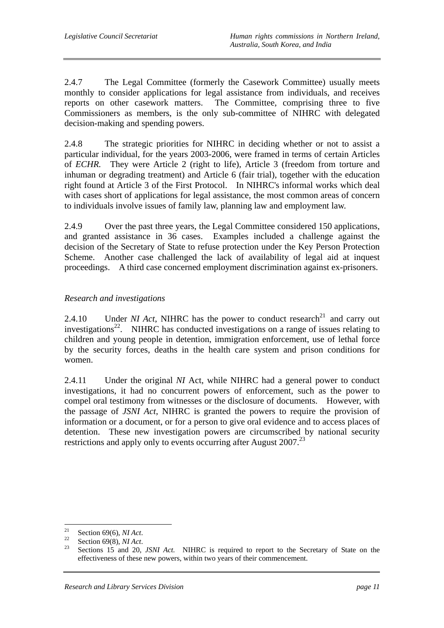2.4.7 The Legal Committee (formerly the Casework Committee) usually meets monthly to consider applications for legal assistance from individuals, and receives reports on other casework matters. The Committee, comprising three to five Commissioners as members, is the only sub-committee of NIHRC with delegated decision-making and spending powers.

2.4.8 The strategic priorities for NIHRC in deciding whether or not to assist a particular individual, for the years 2003-2006, were framed in terms of certain Articles of *ECHR.* They were Article 2 (right to life), Article 3 (freedom from torture and inhuman or degrading treatment) and Article 6 (fair trial), together with the education right found at Article 3 of the First Protocol. In NIHRC's informal works which deal with cases short of applications for legal assistance, the most common areas of concern to individuals involve issues of family law, planning law and employment law.

2.4.9 Over the past three years, the Legal Committee considered 150 applications, and granted assistance in 36 cases. Examples included a challenge against the decision of the Secretary of State to refuse protection under the Key Person Protection Scheme. Another case challenged the lack of availability of legal aid at inquest proceedings. A third case concerned employment discrimination against ex-prisoners.

## *Research and investigations*

2.4.10 Under *NI Act*, NIHRC has the power to conduct research<sup>21</sup> and carry out investigations<sup>22</sup>. NIHRC has conducted investigations on a range of issues relating to children and young people in detention, immigration enforcement, use of lethal force by the security forces, deaths in the health care system and prison conditions for women.

2.4.11 Under the original *NI* Act, while NIHRC had a general power to conduct investigations, it had no concurrent powers of enforcement, such as the power to compel oral testimony from witnesses or the disclosure of documents. However, with the passage of *JSNI Act*, NIHRC is granted the powers to require the provision of information or a document, or for a person to give oral evidence and to access places of detention. These new investigation powers are circumscribed by national security restrictions and apply only to events occurring after August 2007.<sup>23</sup>

<sup>21</sup> 

<sup>21</sup> Section 69(6), *NI Act*. 22 Section 69(8), *NI Act*. 23 Sections 15 and 20, *JSNI Act.* NIHRC is required to report to the Secretary of State on the effectiveness of these new powers, within two years of their commencement.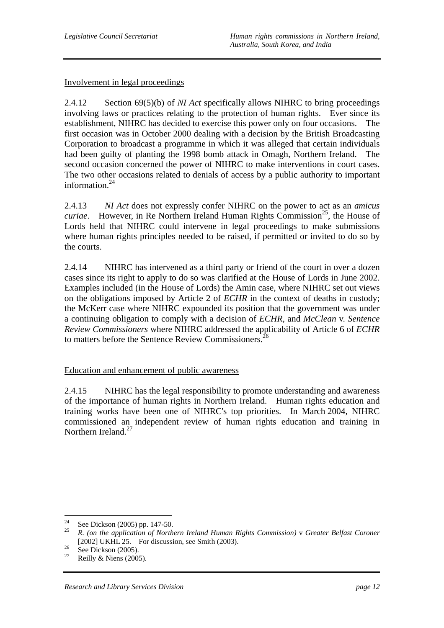## Involvement in legal proceedings

2.4.12 Section 69(5)(b) of *NI Act* specifically allows NIHRC to bring proceedings involving laws or practices relating to the protection of human rights. Ever since its establishment, NIHRC has decided to exercise this power only on four occasions. The first occasion was in October 2000 dealing with a decision by the British Broadcasting Corporation to broadcast a programme in which it was alleged that certain individuals had been guilty of planting the 1998 bomb attack in Omagh, Northern Ireland. The second occasion concerned the power of NIHRC to make interventions in court cases. The two other occasions related to denials of access by a public authority to important information.<sup>24</sup>

2.4.13 *NI Act* does not expressly confer NIHRC on the power to act as an *amicus curiae.* However, in Re Northern Ireland Human Rights Commission<sup>25</sup>, the House of Lords held that NIHRC could intervene in legal proceedings to make submissions where human rights principles needed to be raised, if permitted or invited to do so by the courts.

2.4.14 NIHRC has intervened as a third party or friend of the court in over a dozen cases since its right to apply to do so was clarified at the House of Lords in June 2002. Examples included (in the House of Lords) the Amin case, where NIHRC set out views on the obligations imposed by Article 2 of *ECHR* in the context of deaths in custody; the McKerr case where NIHRC expounded its position that the government was under a continuing obligation to comply with a decision of *ECHR*, and *McClean* v. *Sentence Review Commissioners* where NIHRC addressed the applicability of Article 6 of *ECHR* to matters before the Sentence Review Commissioners.<sup>26</sup>

## Education and enhancement of public awareness

2.4.15 NIHRC has the legal responsibility to promote understanding and awareness of the importance of human rights in Northern Ireland. Human rights education and training works have been one of NIHRC's top priorities. In March 2004, NIHRC commissioned an independent review of human rights education and training in Northern Ireland.<sup>27</sup>

 $24$ <sup>24</sup> See Dickson (2005) pp. 147-50.

<sup>25</sup> *R. (on the application of Northern Ireland Human Rights Commission)* v *Greater Belfast Coroner*  [2002] UKHL 25. For discussion, see Smith (2003).<br>
See Dickson (2005).<br>
<sup>27</sup> Bailly & Niggs (2005).

Reilly  $& Niens (2005).$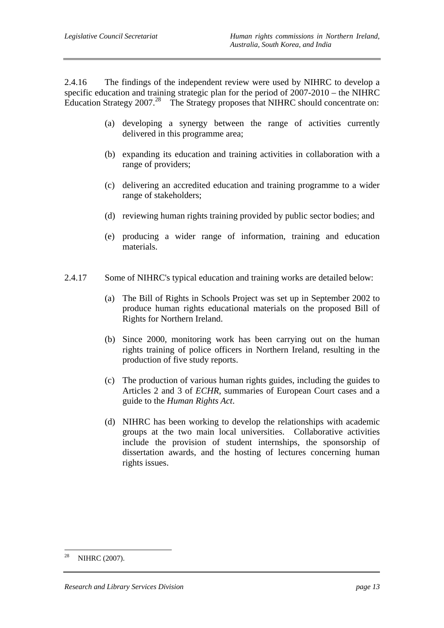2.4.16 The findings of the independent review were used by NIHRC to develop a specific education and training strategic plan for the period of 2007-2010 – the NIHRC Education Strategy  $2007<sup>28</sup>$  The Strategy proposes that NIHRC should concentrate on:

- (a) developing a synergy between the range of activities currently delivered in this programme area;
- (b) expanding its education and training activities in collaboration with a range of providers;
- (c) delivering an accredited education and training programme to a wider range of stakeholders;
- (d) reviewing human rights training provided by public sector bodies; and
- (e) producing a wider range of information, training and education materials.
- 2.4.17 Some of NIHRC's typical education and training works are detailed below:
	- (a) The Bill of Rights in Schools Project was set up in September 2002 to produce human rights educational materials on the proposed Bill of Rights for Northern Ireland.
	- (b) Since 2000, monitoring work has been carrying out on the human rights training of police officers in Northern Ireland, resulting in the production of five study reports.
	- (c) The production of various human rights guides, including the guides to Articles 2 and 3 of *ECHR*, summaries of European Court cases and a guide to the *Human Rights Act*.
	- (d) NIHRC has been working to develop the relationships with academic groups at the two main local universities. Collaborative activities include the provision of student internships, the sponsorship of dissertation awards, and the hosting of lectures concerning human rights issues.

<sup>28</sup> NIHRC (2007).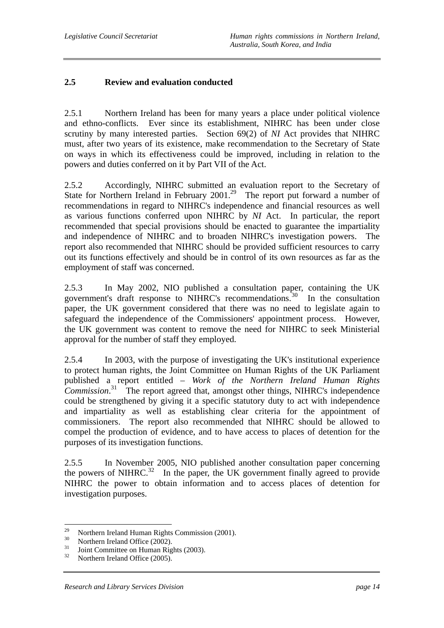## **2.5 Review and evaluation conducted**

2.5.1 Northern Ireland has been for many years a place under political violence and ethno-conflicts. Ever since its establishment, NIHRC has been under close scrutiny by many interested parties. Section 69(2) of *NI* Act provides that NIHRC must, after two years of its existence, make recommendation to the Secretary of State on ways in which its effectiveness could be improved, including in relation to the powers and duties conferred on it by Part VII of the Act.

2.5.2 Accordingly, NIHRC submitted an evaluation report to the Secretary of State for Northern Ireland in February 2001.<sup>29</sup> The report put forward a number of recommendations in regard to NIHRC's independence and financial resources as well as various functions conferred upon NIHRC by *NI* Act. In particular, the report recommended that special provisions should be enacted to guarantee the impartiality and independence of NIHRC and to broaden NIHRC's investigation powers. The report also recommended that NIHRC should be provided sufficient resources to carry out its functions effectively and should be in control of its own resources as far as the employment of staff was concerned.

2.5.3 In May 2002, NIO published a consultation paper, containing the UK government's draft response to NIHRC's recommendations.30 In the consultation paper, the UK government considered that there was no need to legislate again to safeguard the independence of the Commissioners' appointment process. However, the UK government was content to remove the need for NIHRC to seek Ministerial approval for the number of staff they employed.

2.5.4 In 2003, with the purpose of investigating the UK's institutional experience to protect human rights, the Joint Committee on Human Rights of the UK Parliament published a report entitled – *Work of the Northern Ireland Human Rights Commission*. 31 The report agreed that, amongst other things, NIHRC's independence could be strengthened by giving it a specific statutory duty to act with independence and impartiality as well as establishing clear criteria for the appointment of commissioners. The report also recommended that NIHRC should be allowed to compel the production of evidence, and to have access to places of detention for the purposes of its investigation functions.

2.5.5 In November 2005, NIO published another consultation paper concerning the powers of NIHRC.<sup>32</sup> In the paper, the UK government finally agreed to provide NIHRC the power to obtain information and to access places of detention for investigation purposes.

<sup>29</sup> <sup>29</sup> Northern Ireland Human Rights Commission (2001).

 $^{30}$  Northern Ireland Office (2002).

 $\frac{31}{32}$  Joint Committee on Human Rights (2003).<br>Northern Ireland Office (2005)

Northern Ireland Office (2005).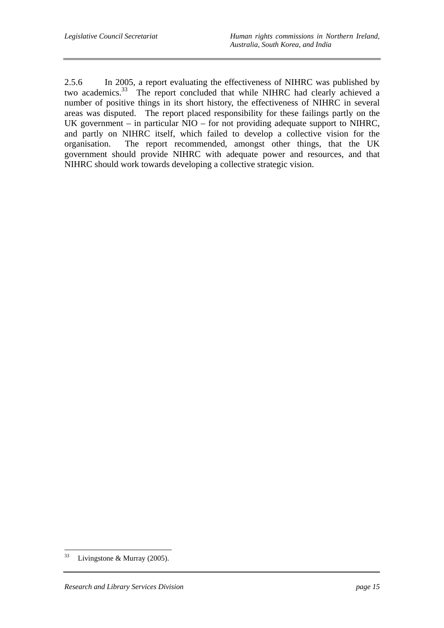2.5.6 In 2005, a report evaluating the effectiveness of NIHRC was published by two academics.33 The report concluded that while NIHRC had clearly achieved a number of positive things in its short history, the effectiveness of NIHRC in several areas was disputed. The report placed responsibility for these failings partly on the UK government – in particular NIO – for not providing adequate support to NIHRC, and partly on NIHRC itself, which failed to develop a collective vision for the organisation. The report recommended, amongst other things, that the UK government should provide NIHRC with adequate power and resources, and that NIHRC should work towards developing a collective strategic vision.

<sup>33</sup> Livingstone & Murray (2005).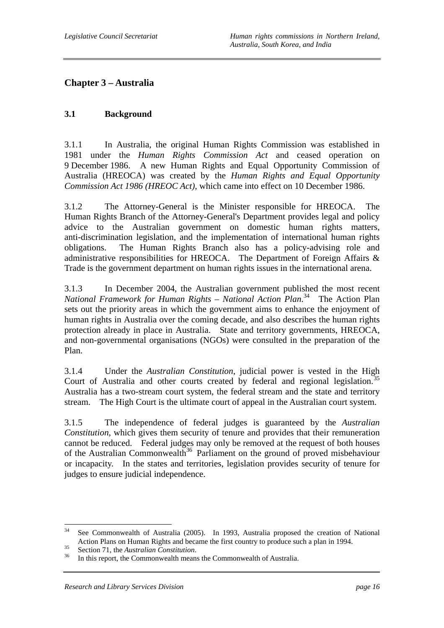# **Chapter 3 – Australia**

## **3.1 Background**

3.1.1 In Australia, the original Human Rights Commission was established in 1981 under the *Human Rights Commission Act* and ceased operation on 9 December 1986. A new Human Rights and Equal Opportunity Commission of Australia (HREOCA) was created by the *Human Rights and Equal Opportunity Commission Act 1986 (HREOC Act)*, which came into effect on 10 December 1986.

3.1.2 The Attorney-General is the Minister responsible for HREOCA. The Human Rights Branch of the Attorney-General's Department provides legal and policy advice to the Australian government on domestic human rights matters, anti-discrimination legislation, and the implementation of international human rights obligations. The Human Rights Branch also has a policy-advising role and administrative responsibilities for HREOCA. The Department of Foreign Affairs & Trade is the government department on human rights issues in the international arena.

3.1.3 In December 2004, the Australian government published the most recent *National Framework for Human Rights – National Action Plan*. 34 The Action Plan sets out the priority areas in which the government aims to enhance the enjoyment of human rights in Australia over the coming decade, and also describes the human rights protection already in place in Australia. State and territory governments, HREOCA, and non-governmental organisations (NGOs) were consulted in the preparation of the Plan.

3.1.4 Under the *Australian Constitution*, judicial power is vested in the High Court of Australia and other courts created by federal and regional legislation.<sup>35</sup> Australia has a two-stream court system, the federal stream and the state and territory stream. The High Court is the ultimate court of appeal in the Australian court system.

3.1.5 The independence of federal judges is guaranteed by the *Australian Constitution*, which gives them security of tenure and provides that their remuneration cannot be reduced. Federal judges may only be removed at the request of both houses of the Australian Commonwealth<sup>36</sup> Parliament on the ground of proved misbehaviour or incapacity. In the states and territories, legislation provides security of tenure for judges to ensure judicial independence.

 $34$ See Commonwealth of Australia (2005). In 1993, Australia proposed the creation of National Action Plans on Human Rights and became the first country to produce such a plan in 1994.<br>
<sup>35</sup> Section 71, the *Australian Constitution*.<br>
<sup>36</sup> In this report, the Commonwealth means the Commonwealth of Australia.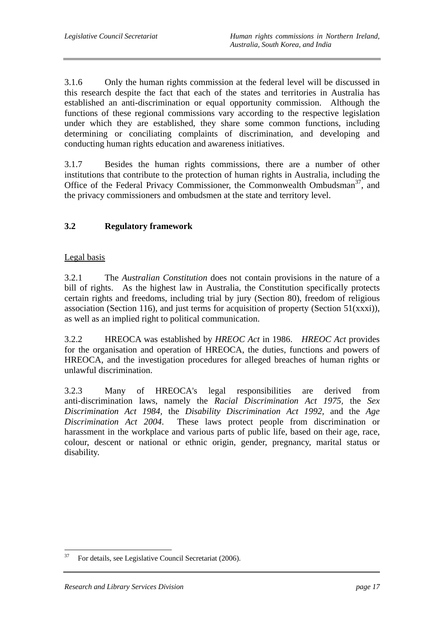3.1.6 Only the human rights commission at the federal level will be discussed in this research despite the fact that each of the states and territories in Australia has established an anti-discrimination or equal opportunity commission. Although the functions of these regional commissions vary according to the respective legislation under which they are established, they share some common functions, including determining or conciliating complaints of discrimination, and developing and conducting human rights education and awareness initiatives.

3.1.7 Besides the human rights commissions, there are a number of other institutions that contribute to the protection of human rights in Australia, including the Office of the Federal Privacy Commissioner, the Commonwealth Ombudsman<sup>37</sup>, and the privacy commissioners and ombudsmen at the state and territory level.

# **3.2 Regulatory framework**

# Legal basis

3.2.1 The *Australian Constitution* does not contain provisions in the nature of a bill of rights. As the highest law in Australia, the Constitution specifically protects certain rights and freedoms, including trial by jury (Section 80), freedom of religious association (Section 116), and just terms for acquisition of property (Section 51(xxxi)), as well as an implied right to political communication.

3.2.2 HREOCA was established by *HREOC Act* in 1986. *HREOC Act* provides for the organisation and operation of HREOCA, the duties, functions and powers of HREOCA, and the investigation procedures for alleged breaches of human rights or unlawful discrimination.

3.2.3 Many of HREOCA's legal responsibilities are derived from anti-discrimination laws, namely the *Racial Discrimination Act 1975,* the *Sex Discrimination Act 1984,* the *Disability Discrimination Act 1992,* and the *Age Discrimination Act 2004*. These laws protect people from discrimination or harassment in the workplace and various parts of public life, based on their age, race, colour, descent or national or ethnic origin, gender, pregnancy, marital status or disability.

 $\overline{a}$  $37$  For details, see Legislative Council Secretariat (2006).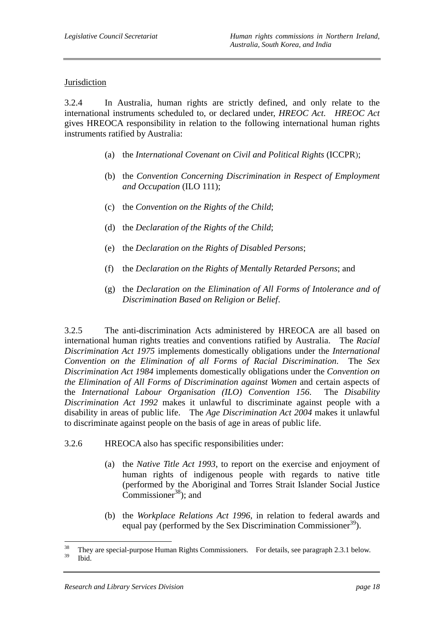## Jurisdiction

3.2.4 In Australia, human rights are strictly defined, and only relate to the international instruments scheduled to, or declared under, *HREOC Act*. *HREOC Act* gives HREOCA responsibility in relation to the following international human rights instruments ratified by Australia:

- (a) the *International Covenant on Civil and Political Rights* (ICCPR);
- (b) the *Convention Concerning Discrimination in Respect of Employment and Occupation* (ILO 111);
- (c) the *Convention on the Rights of the Child*;
- (d) the *Declaration of the Rights of the Child*;
- (e) the *Declaration on the Rights of Disabled Persons*;
- (f) the *Declaration on the Rights of Mentally Retarded Persons*; and
- (g) the *Declaration on the Elimination of All Forms of Intolerance and of Discrimination Based on Religion or Belief*.

3.2.5 The anti-discrimination Acts administered by HREOCA are all based on international human rights treaties and conventions ratified by Australia. The *Racial Discrimination Act 1975* implements domestically obligations under the *International Convention on the Elimination of all Forms of Racial Discrimination*. The *Sex Discrimination Act 1984* implements domestically obligations under the *Convention on the Elimination of All Forms of Discrimination against Women* and certain aspects of the *International Labour Organisation (ILO) Convention 156*. The *Disability Discrimination Act 1992* makes it unlawful to discriminate against people with a disability in areas of public life. The *Age Discrimination Act 2004* makes it unlawful to discriminate against people on the basis of age in areas of public life.

- 3.2.6 HREOCA also has specific responsibilities under:
	- (a) the *Native Title Act 1993*, to report on the exercise and enjoyment of human rights of indigenous people with regards to native title (performed by the Aboriginal and Torres Strait Islander Social Justice Commissioner $38$ ); and
	- (b) the *Workplace Relations Act 1996*, in relation to federal awards and equal pay (performed by the Sex Discrimination Commissioner<sup>39</sup>).

 $\overline{a}$ 

<sup>&</sup>lt;sup>38</sup> They are special-purpose Human Rights Commissioners. For details, see paragraph 2.3.1 below. Ibid.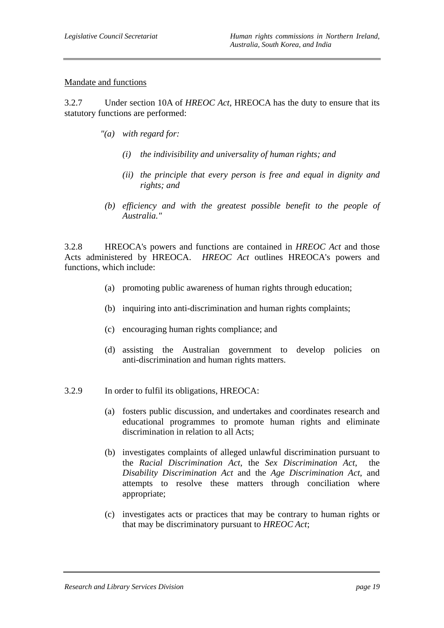## Mandate and functions

3.2.7 Under section 10A of *HREOC Act*, HREOCA has the duty to ensure that its statutory functions are performed:

- *"(a) with regard for:* 
	- *(i) the indivisibility and universality of human rights; and*
	- *(ii) the principle that every person is free and equal in dignity and rights; and*
- *(b) efficiency and with the greatest possible benefit to the people of Australia."*

3.2.8 HREOCA's powers and functions are contained in *HREOC Act* and those Acts administered by HREOCA. *HREOC Act* outlines HREOCA's powers and functions, which include:

- (a) promoting public awareness of human rights through education;
- (b) inquiring into anti-discrimination and human rights complaints;
- (c) encouraging human rights compliance; and
- (d) assisting the Australian government to develop policies on anti-discrimination and human rights matters.
- 3.2.9 In order to fulfil its obligations, HREOCA:
	- (a) fosters public discussion, and undertakes and coordinates research and educational programmes to promote human rights and eliminate discrimination in relation to all Acts;
	- (b) investigates complaints of alleged unlawful discrimination pursuant to the *Racial Discrimination Act*, the *Sex Discrimination Act*, the *Disability Discrimination Act* and the *Age Discrimination Act*, and attempts to resolve these matters through conciliation where appropriate;
	- (c) investigates acts or practices that may be contrary to human rights or that may be discriminatory pursuant to *HREOC Act*;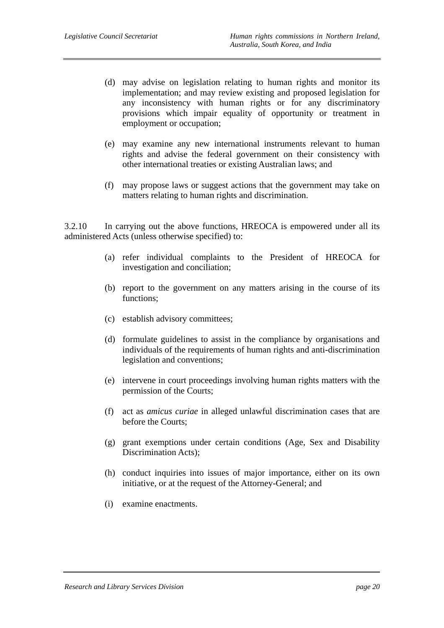- (d) may advise on legislation relating to human rights and monitor its implementation; and may review existing and proposed legislation for any inconsistency with human rights or for any discriminatory provisions which impair equality of opportunity or treatment in employment or occupation;
- (e) may examine any new international instruments relevant to human rights and advise the federal government on their consistency with other international treaties or existing Australian laws; and
- (f) may propose laws or suggest actions that the government may take on matters relating to human rights and discrimination.

3.2.10 In carrying out the above functions, HREOCA is empowered under all its administered Acts (unless otherwise specified) to:

- (a) refer individual complaints to the President of HREOCA for investigation and conciliation;
- (b) report to the government on any matters arising in the course of its functions;
- (c) establish advisory committees;
- (d) formulate guidelines to assist in the compliance by organisations and individuals of the requirements of human rights and anti-discrimination legislation and conventions;
- (e) intervene in court proceedings involving human rights matters with the permission of the Courts;
- (f) act as *amicus curiae* in alleged unlawful discrimination cases that are before the Courts;
- (g) grant exemptions under certain conditions (Age, Sex and Disability Discrimination Acts);
- (h) conduct inquiries into issues of major importance, either on its own initiative, or at the request of the Attorney-General; and
- (i) examine enactments.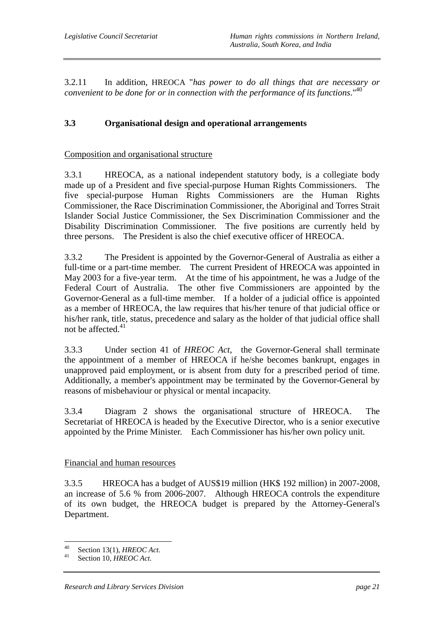3.2.11 In addition, HREOCA "*has power to do all things that are necessary or convenient to be done for or in connection with the performance of its functions*."40

## **3.3 Organisational design and operational arrangements**

#### Composition and organisational structure

3.3.1 HREOCA, as a national independent statutory body, is a collegiate body made up of a President and five special-purpose Human Rights Commissioners. The five special-purpose Human Rights Commissioners are the Human Rights Commissioner, the Race Discrimination Commissioner, the Aboriginal and Torres Strait Islander Social Justice Commissioner, the Sex Discrimination Commissioner and the Disability Discrimination Commissioner. The five positions are currently held by three persons. The President is also the chief executive officer of HREOCA.

3.3.2 The President is appointed by the Governor-General of Australia as either a full-time or a part-time member. The current President of HREOCA was appointed in May 2003 for a five-year term. At the time of his appointment, he was a Judge of the Federal Court of Australia. The other five Commissioners are appointed by the Governor-General as a full-time member. If a holder of a judicial office is appointed as a member of HREOCA, the law requires that his/her tenure of that judicial office or his/her rank, title, status, precedence and salary as the holder of that judicial office shall not be affected. $41$ 

3.3.3 Under section 41 of *HREOC Act*, the Governor-General shall terminate the appointment of a member of HREOCA if he/she becomes bankrupt, engages in unapproved paid employment, or is absent from duty for a prescribed period of time. Additionally, a member's appointment may be terminated by the Governor-General by reasons of misbehaviour or physical or mental incapacity.

3.3.4 Diagram 2 shows the organisational structure of HREOCA. The Secretariat of HREOCA is headed by the Executive Director, who is a senior executive appointed by the Prime Minister. Each Commissioner has his/her own policy unit.

## Financial and human resources

3.3.5 HREOCA has a budget of AUS\$19 million (HK\$ 192 million) in 2007-2008, an increase of 5.6 % from 2006-2007. Although HREOCA controls the expenditure of its own budget, the HREOCA budget is prepared by the Attorney-General's Department.

 $40<sup>2</sup>$ 40 Section 13(1), *HREOC Act.* <sup>41</sup> Section 10, *HREOC Act.*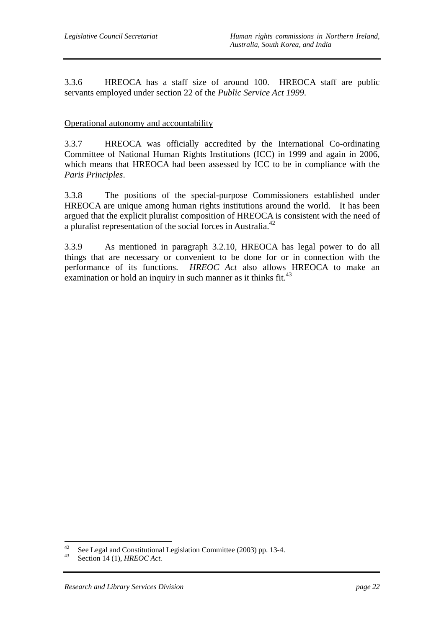3.3.6 HREOCA has a staff size of around 100. HREOCA staff are public servants employed under section 22 of the *Public Service Act 1999*.

## Operational autonomy and accountability

3.3.7 HREOCA was officially accredited by the International Co-ordinating Committee of National Human Rights Institutions (ICC) in 1999 and again in 2006, which means that HREOCA had been assessed by ICC to be in compliance with the *Paris Principles*.

3.3.8 The positions of the special-purpose Commissioners established under HREOCA are unique among human rights institutions around the world. It has been argued that the explicit pluralist composition of HREOCA is consistent with the need of a pluralist representation of the social forces in Australia.42

3.3.9 As mentioned in paragraph 3.2.10, HREOCA has legal power to do all things that are necessary or convenient to be done for or in connection with the performance of its functions. *HREOC Act* also allows HREOCA to make an examination or hold an inquiry in such manner as it thinks fit.<sup>43</sup>

 $42$ <sup>42</sup> See Legal and Constitutional Legislation Committee (2003) pp. 13-4.

Section 14 (1), *HREOC Act.*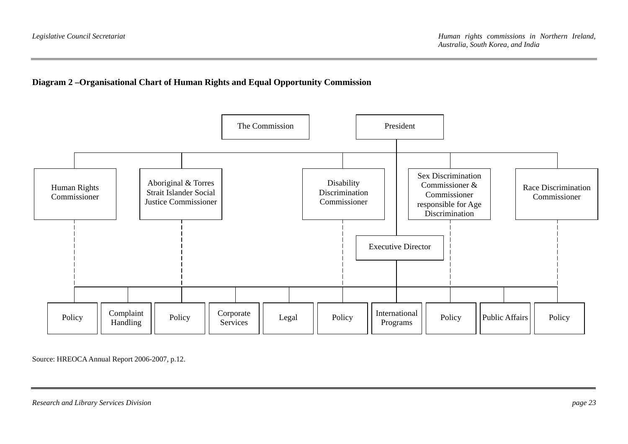# **Diagram 2 –Organisational Chart of Human Rights and Equal Opportunity Commission**



Source: HREOCA Annual Report 2006-2007, p.12.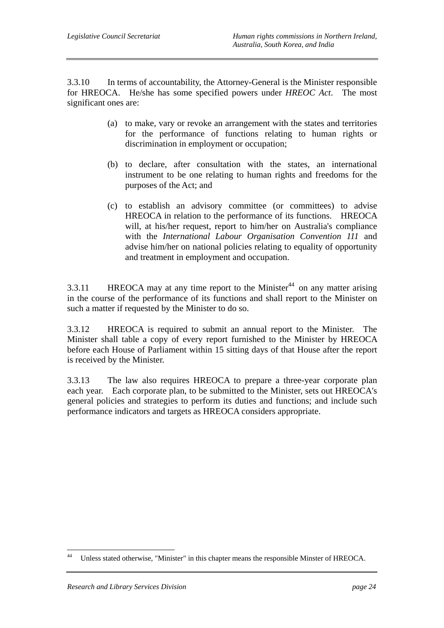3.3.10 In terms of accountability, the Attorney-General is the Minister responsible for HREOCA. He/she has some specified powers under *HREOC Act*. The most significant ones are:

- (a) to make, vary or revoke an arrangement with the states and territories for the performance of functions relating to human rights or discrimination in employment or occupation;
- (b) to declare, after consultation with the states, an international instrument to be one relating to human rights and freedoms for the purposes of the Act; and
- (c) to establish an advisory committee (or committees) to advise HREOCA in relation to the performance of its functions. HREOCA will, at his/her request, report to him/her on Australia's compliance with the *International Labour Organisation Convention 111* and advise him/her on national policies relating to equality of opportunity and treatment in employment and occupation.

3.3.11 HREOCA may at any time report to the Minister<sup>44</sup> on any matter arising in the course of the performance of its functions and shall report to the Minister on such a matter if requested by the Minister to do so.

3.3.12 HREOCA is required to submit an annual report to the Minister. The Minister shall table a copy of every report furnished to the Minister by HREOCA before each House of Parliament within 15 sitting days of that House after the report is received by the Minister.

3.3.13 The law also requires HREOCA to prepare a three-year corporate plan each year. Each corporate plan, to be submitted to the Minister, sets out HREOCA's general policies and strategies to perform its duties and functions; and include such performance indicators and targets as HREOCA considers appropriate.

 $44$ Unless stated otherwise, "Minister" in this chapter means the responsible Minster of HREOCA.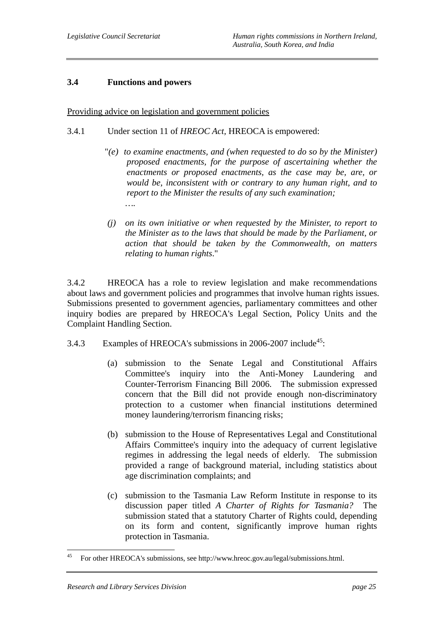## **3.4 Functions and powers**

Providing advice on legislation and government policies

- 3.4.1 Under section 11 of *HREOC Act,* HREOCA is empowered:
	- "*(e) to examine enactments, and (when requested to do so by the Minister) proposed enactments, for the purpose of ascertaining whether the enactments or proposed enactments, as the case may be, are, or would be, inconsistent with or contrary to any human right, and to report to the Minister the results of any such examination; ….*
	- *(j) on its own initiative or when requested by the Minister, to report to the Minister as to the laws that should be made by the Parliament, or action that should be taken by the Commonwealth, on matters relating to human rights*."

3.4.2 HREOCA has a role to review legislation and make recommendations about laws and government policies and programmes that involve human rights issues. Submissions presented to government agencies, parliamentary committees and other inquiry bodies are prepared by HREOCA's Legal Section, Policy Units and the Complaint Handling Section.

- 3.4.3 Examples of HREOCA's submissions in 2006-2007 include<sup>45</sup>:
	- (a) submission to the Senate Legal and Constitutional Affairs Committee's inquiry into the Anti-Money Laundering and Counter-Terrorism Financing Bill 2006. The submission expressed concern that the Bill did not provide enough non-discriminatory protection to a customer when financial institutions determined money laundering/terrorism financing risks;
	- (b) submission to the House of Representatives Legal and Constitutional Affairs Committee's inquiry into the adequacy of current legislative regimes in addressing the legal needs of elderly. The submission provided a range of background material, including statistics about age discrimination complaints; and
	- (c) submission to the Tasmania Law Reform Institute in response to its discussion paper titled *A Charter of Rights for Tasmania?* The submission stated that a statutory Charter of Rights could, depending on its form and content, significantly improve human rights protection in Tasmania.

 $45$ 45 For other HREOCA's submissions, see http://www.hreoc.gov.au/legal/submissions.html.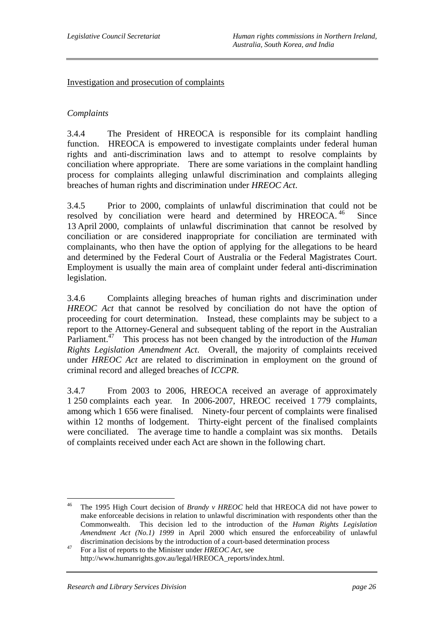Investigation and prosecution of complaints

## *Complaints*

3.4.4 The President of HREOCA is responsible for its complaint handling function. HREOCA is empowered to investigate complaints under federal human rights and anti-discrimination laws and to attempt to resolve complaints by conciliation where appropriate. There are some variations in the complaint handling process for complaints alleging unlawful discrimination and complaints alleging breaches of human rights and discrimination under *HREOC Act*.

3.4.5 Prior to 2000, complaints of unlawful discrimination that could not be resolved by conciliation were heard and determined by HREOCA.<sup>46</sup> Since 13 April 2000, complaints of unlawful discrimination that cannot be resolved by conciliation or are considered inappropriate for conciliation are terminated with complainants, who then have the option of applying for the allegations to be heard and determined by the Federal Court of Australia or the Federal Magistrates Court. Employment is usually the main area of complaint under federal anti-discrimination legislation.

3.4.6 Complaints alleging breaches of human rights and discrimination under *HREOC Act* that cannot be resolved by conciliation do not have the option of proceeding for court determination. Instead, these complaints may be subject to a report to the Attorney-General and subsequent tabling of the report in the Australian Parliament.<sup>47</sup> This process has not been changed by the introduction of the *Human Rights Legislation Amendment Act*. Overall, the majority of complaints received under *HREOC Act* are related to discrimination in employment on the ground of criminal record and alleged breaches of *ICCPR*.

3.4.7 From 2003 to 2006, HREOCA received an average of approximately 1 250 complaints each year. In 2006-2007, HREOC received 1 779 complaints, among which 1 656 were finalised. Ninety-four percent of complaints were finalised within 12 months of lodgement. Thirty-eight percent of the finalised complaints were conciliated. The average time to handle a complaint was six months. Details of complaints received under each Act are shown in the following chart.

 $46<sup>1</sup>$ 46 The 1995 High Court decision of *Brandy v HREOC* held that HREOCA did not have power to make enforceable decisions in relation to unlawful discrimination with respondents other than the Commonwealth. This decision led to the introduction of the *Human Rights Legislation Amendment Act (No.1) 1999* in April 2000 which ensured the enforceability of unlawful discrimination decisions by the introduction of a court-based determination process<br><sup>47</sup> For a list of reports to the Minister under *HREOC Act*, see

http://www.humanrights.gov.au/legal/HREOCA\_reports/index.html.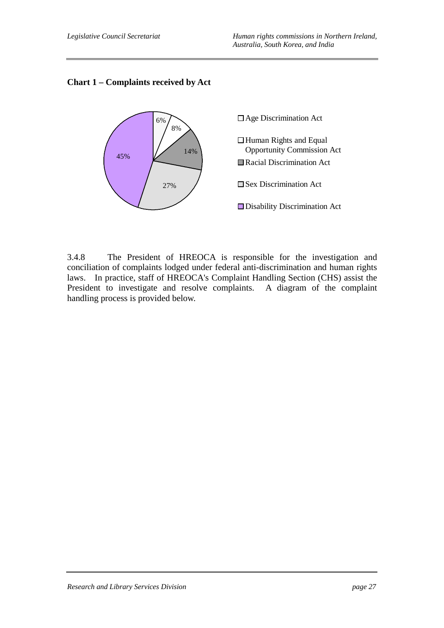## **Chart 1 – Complaints received by Act**



3.4.8 The President of HREOCA is responsible for the investigation and conciliation of complaints lodged under federal anti-discrimination and human rights laws. In practice, staff of HREOCA's Complaint Handling Section (CHS) assist the President to investigate and resolve complaints. A diagram of the complaint handling process is provided below.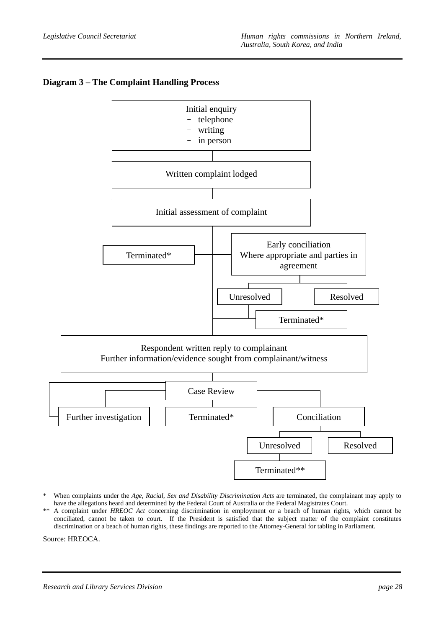

## **Diagram 3 – The Complaint Handling Process**

- \* When complaints under the *Age, Racial, Sex and Disability Discrimination Acts* are terminated, the complainant may apply to have the allegations heard and determined by the Federal Court of Australia or the Federal Magistrates Court.
- \*\* A complaint under *HREOC Act* concerning discrimination in employment or a beach of human rights, which cannot be conciliated, cannot be taken to court. If the President is satisfied that the subject matter of the complaint constitutes discrimination or a beach of human rights, these findings are reported to the Attorney-General for tabling in Parliament.

Source: HREOCA.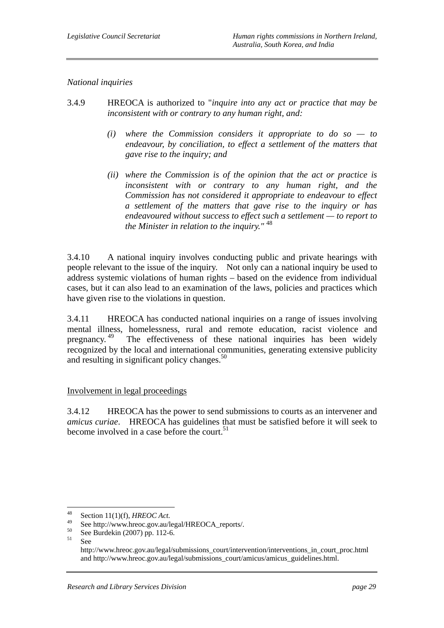## *National inquiries*

- 3.4.9 HREOCA is authorized to "*inquire into any act or practice that may be inconsistent with or contrary to any human right, and:* 
	- *(i) where the Commission considers it appropriate to do so to endeavour, by conciliation, to effect a settlement of the matters that gave rise to the inquiry; and*
	- *(ii) where the Commission is of the opinion that the act or practice is inconsistent with or contrary to any human right, and the Commission has not considered it appropriate to endeavour to effect a settlement of the matters that gave rise to the inquiry or has endeavoured without success to effect such a settlement — to report to the Minister in relation to the inquiry."* <sup>48</sup>

3.4.10 A national inquiry involves conducting public and private hearings with people relevant to the issue of the inquiry. Not only can a national inquiry be used to address systemic violations of human rights – based on the evidence from individual cases, but it can also lead to an examination of the laws, policies and practices which have given rise to the violations in question.

3.4.11 HREOCA has conducted national inquiries on a range of issues involving mental illness, homelessness, rural and remote education, racist violence and pregnancy. 49 The effectiveness of these national inquiries has been widely recognized by the local and international communities, generating extensive publicity and resulting in significant policy changes.<sup>50</sup>

## Involvement in legal proceedings

3.4.12 HREOCA has the power to send submissions to courts as an intervener and *amicus curiae*. HREOCA has guidelines that must be satisfied before it will seek to become involved in a case before the court.<sup>51</sup>

See

<sup>48</sup> <sup>48</sup> Section 11(1)(f), *HREOC Act.* 

 $^{49}$  See http://www.hreoc.gov.au/legal/HREOCA\_reports/.

 $^{50}$  See Burdekin (2007) pp. 112-6.

http://www.hreoc.gov.au/legal/submissions\_court/intervention/interventions\_in\_court\_proc.html and http://www.hreoc.gov.au/legal/submissions\_court/amicus/amicus\_guidelines.html.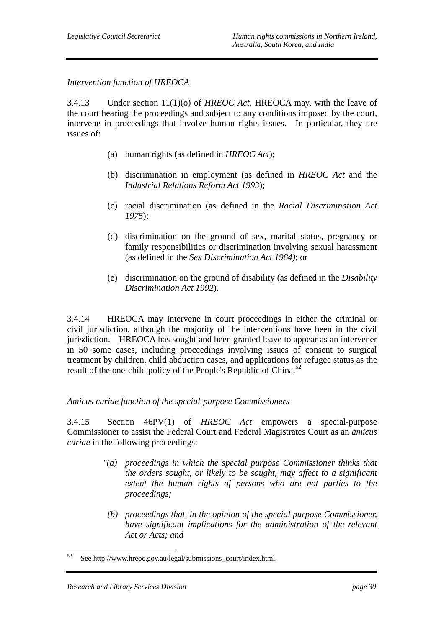## *Intervention function of HREOCA*

3.4.13 Under section 11(1)(o) of *HREOC Act*, HREOCA may, with the leave of the court hearing the proceedings and subject to any conditions imposed by the court, intervene in proceedings that involve human rights issues. In particular, they are issues of:

- (a) human rights (as defined in *HREOC Act*);
- (b) discrimination in employment (as defined in *HREOC Act* and the *Industrial Relations Reform Act 1993*);
- (c) racial discrimination (as defined in the *Racial Discrimination Act 1975*);
- (d) discrimination on the ground of sex, marital status, pregnancy or family responsibilities or discrimination involving sexual harassment (as defined in the *Sex Discrimination Act 1984)*; or
- (e) discrimination on the ground of disability (as defined in the *Disability Discrimination Act 1992*).

3.4.14 HREOCA may intervene in court proceedings in either the criminal or civil jurisdiction, although the majority of the interventions have been in the civil jurisdiction. HREOCA has sought and been granted leave to appear as an intervener in 50 some cases, including proceedings involving issues of consent to surgical treatment by children, child abduction cases, and applications for refugee status as the result of the one-child policy of the People's Republic of China.<sup>52</sup>

#### *Amicus curiae function of the special-purpose Commissioners*

3.4.15 Section 46PV(1) of *HREOC Act* empowers a special-purpose Commissioner to assist the Federal Court and Federal Magistrates Court as an *amicus curiae* in the following proceedings:

- *"(a) proceedings in which the special purpose Commissioner thinks that the orders sought, or likely to be sought, may affect to a significant extent the human rights of persons who are not parties to the proceedings;*
- *(b) proceedings that, in the opinion of the special purpose Commissioner, have significant implications for the administration of the relevant Act or Acts; and*

<sup>52</sup> 52 See http://www.hreoc.gov.au/legal/submissions\_court/index.html.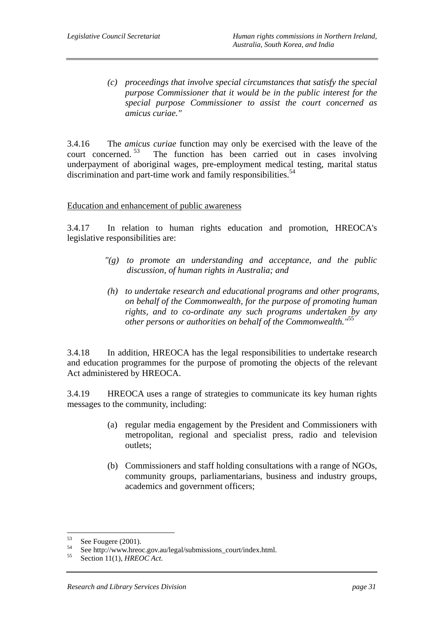*(c) proceedings that involve special circumstances that satisfy the special purpose Commissioner that it would be in the public interest for the special purpose Commissioner to assist the court concerned as amicus curiae."*

3.4.16 The *amicus curiae* function may only be exercised with the leave of the court concerned. 53 The function has been carried out in cases involving underpayment of aboriginal wages, pre-employment medical testing, marital status discrimination and part-time work and family responsibilities.<sup>54</sup>

## Education and enhancement of public awareness

3.4.17 In relation to human rights education and promotion, HREOCA's legislative responsibilities are:

- *"(g) to promote an understanding and acceptance, and the public discussion, of human rights in Australia; and*
- *(h) to undertake research and educational programs and other programs, on behalf of the Commonwealth, for the purpose of promoting human rights, and to co-ordinate any such programs undertaken by any other persons or authorities on behalf of the Commonwealth."*<sup>55</sup>

3.4.18 In addition, HREOCA has the legal responsibilities to undertake research and education programmes for the purpose of promoting the objects of the relevant Act administered by HREOCA.

3.4.19 HREOCA uses a range of strategies to communicate its key human rights messages to the community, including:

- (a) regular media engagement by the President and Commissioners with metropolitan, regional and specialist press, radio and television outlets;
- (b) Commissioners and staff holding consultations with a range of NGOs, community groups, parliamentarians, business and industry groups, academics and government officers;

<sup>53</sup>  $53$  See Fougere (2001).

<sup>&</sup>lt;sup>54</sup> See http://www.hreoc.gov.au/legal/submissions\_court/index.html.<br> $^{55}$  Section 11(1) *HBEOCAA* 

<sup>55</sup> Section 11(1), *HREOC Act*.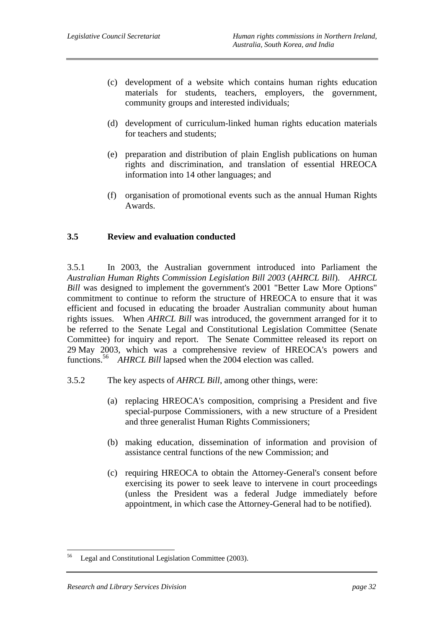- (c) development of a website which contains human rights education materials for students, teachers, employers, the government, community groups and interested individuals;
- (d) development of curriculum-linked human rights education materials for teachers and students;
- (e) preparation and distribution of plain English publications on human rights and discrimination, and translation of essential HREOCA information into 14 other languages; and
- (f) organisation of promotional events such as the annual Human Rights Awards.

#### **3.5 Review and evaluation conducted**

3.5.1 In 2003, the Australian government introduced into Parliament the *Australian Human Rights Commission Legislation Bill 2003* (*AHRCL Bill*). *AHRCL Bill* was designed to implement the government's 2001 "Better Law More Options" commitment to continue to reform the structure of HREOCA to ensure that it was efficient and focused in educating the broader Australian community about human rights issues. When *AHRCL Bill* was introduced, the government arranged for it to be referred to the Senate Legal and Constitutional Legislation Committee (Senate Committee) for inquiry and report. The Senate Committee released its report on 29 May 2003, which was a comprehensive review of HREOCA's powers and functions.56 *AHRCL Bill* lapsed when the 2004 election was called.

- 3.5.2 The key aspects of *AHRCL Bill*, among other things, were:
	- (a) replacing HREOCA's composition, comprising a President and five special-purpose Commissioners, with a new structure of a President and three generalist Human Rights Commissioners;
	- (b) making education, dissemination of information and provision of assistance central functions of the new Commission; and
	- (c) requiring HREOCA to obtain the Attorney-General's consent before exercising its power to seek leave to intervene in court proceedings (unless the President was a federal Judge immediately before appointment, in which case the Attorney-General had to be notified).

<sup>56</sup> Legal and Constitutional Legislation Committee (2003).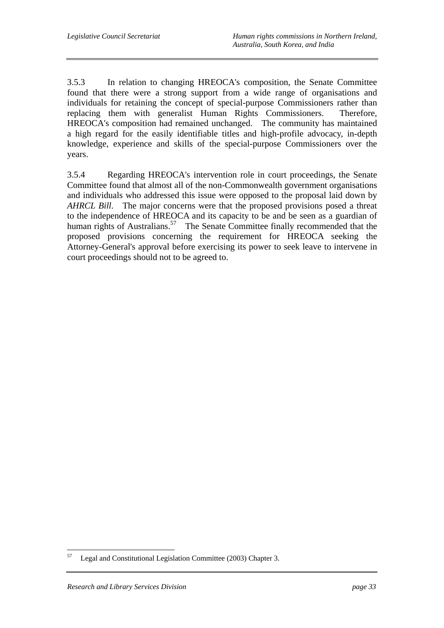3.5.3 In relation to changing HREOCA's composition, the Senate Committee found that there were a strong support from a wide range of organisations and individuals for retaining the concept of special-purpose Commissioners rather than replacing them with generalist Human Rights Commissioners. Therefore, HREOCA's composition had remained unchanged. The community has maintained a high regard for the easily identifiable titles and high-profile advocacy, in-depth knowledge, experience and skills of the special-purpose Commissioners over the years.

3.5.4 Regarding HREOCA's intervention role in court proceedings, the Senate Committee found that almost all of the non-Commonwealth government organisations and individuals who addressed this issue were opposed to the proposal laid down by *AHRCL Bill*. The major concerns were that the proposed provisions posed a threat to the independence of HREOCA and its capacity to be and be seen as a guardian of human rights of Australians.<sup>57</sup> The Senate Committee finally recommended that the proposed provisions concerning the requirement for HREOCA seeking the Attorney-General's approval before exercising its power to seek leave to intervene in court proceedings should not to be agreed to.

<sup>57</sup> Legal and Constitutional Legislation Committee (2003) Chapter 3.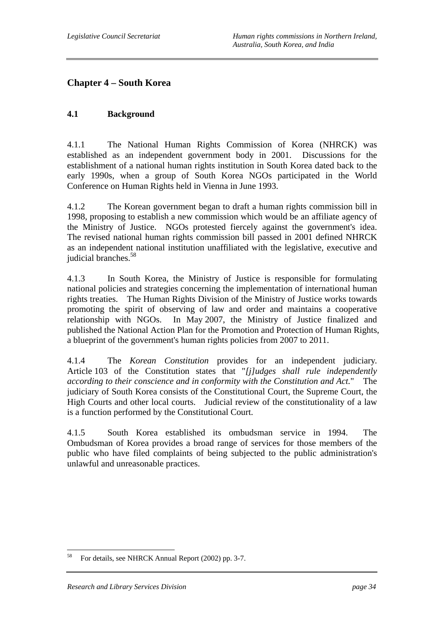# **Chapter 4 – South Korea**

## **4.1 Background**

4.1.1 The National Human Rights Commission of Korea (NHRCK) was established as an independent government body in 2001. Discussions for the establishment of a national human rights institution in South Korea dated back to the early 1990s, when a group of South Korea NGOs participated in the World Conference on Human Rights held in Vienna in June 1993.

4.1.2 The Korean government began to draft a human rights commission bill in 1998, proposing to establish a new commission which would be an affiliate agency of the Ministry of Justice. NGOs protested fiercely against the government's idea. The revised national human rights commission bill passed in 2001 defined NHRCK as an independent national institution unaffiliated with the legislative, executive and judicial branches.<sup>58</sup>

4.1.3 In South Korea, the Ministry of Justice is responsible for formulating national policies and strategies concerning the implementation of international human rights treaties. The Human Rights Division of the Ministry of Justice works towards promoting the spirit of observing of law and order and maintains a cooperative relationship with NGOs. In May 2007, the Ministry of Justice finalized and published the National Action Plan for the Promotion and Protection of Human Rights, a blueprint of the government's human rights policies from 2007 to 2011.

4.1.4 The *Korean Constitution* provides for an independent judiciary. Article 103 of the Constitution states that "*[j]udges shall rule independently according to their conscience and in conformity with the Constitution and Act.*" The judiciary of South Korea consists of the Constitutional Court, the Supreme Court, the High Courts and other local courts. Judicial review of the constitutionality of a law is a function performed by the Constitutional Court.

4.1.5 South Korea established its ombudsman service in 1994. The Ombudsman of Korea provides a broad range of services for those members of the public who have filed complaints of being subjected to the public administration's unlawful and unreasonable practices.

<sup>58</sup> For details, see NHRCK Annual Report (2002) pp. 3-7.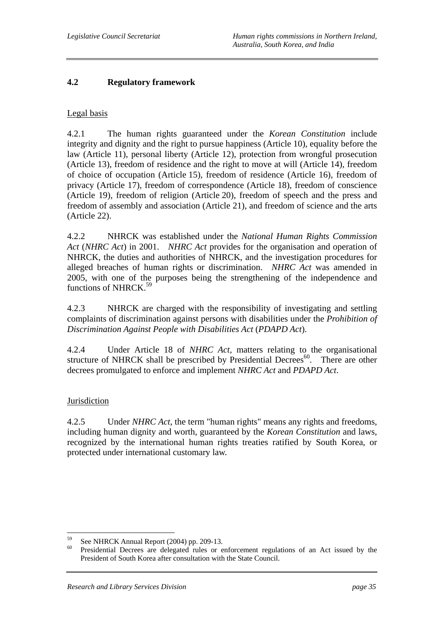## **4.2 Regulatory framework**

#### Legal basis

4.2.1 The human rights guaranteed under the *Korean Constitution* include integrity and dignity and the right to pursue happiness (Article 10), equality before the law (Article 11), personal liberty (Article 12), protection from wrongful prosecution (Article 13), freedom of residence and the right to move at will (Article 14), freedom of choice of occupation (Article 15), freedom of residence (Article 16), freedom of privacy (Article 17), freedom of correspondence (Article 18), freedom of conscience (Article 19), freedom of religion (Article 20), freedom of speech and the press and freedom of assembly and association (Article 21), and freedom of science and the arts (Article 22).

4.2.2 NHRCK was established under the *National Human Rights Commission Act* (*NHRC Act*) in 2001. *NHRC Act* provides for the organisation and operation of NHRCK, the duties and authorities of NHRCK, and the investigation procedures for alleged breaches of human rights or discrimination. *NHRC Act* was amended in 2005, with one of the purposes being the strengthening of the independence and functions of NHRCK.<sup>59</sup>

4.2.3 NHRCK are charged with the responsibility of investigating and settling complaints of discrimination against persons with disabilities under the *Prohibition of Discrimination Against People with Disabilities Act* (*PDAPD Act*).

4.2.4 Under Article 18 of *NHRC Act*, matters relating to the organisational structure of NHRCK shall be prescribed by Presidential Decrees<sup>60</sup>. There are other decrees promulgated to enforce and implement *NHRC Act* and *PDAPD Act*.

#### Jurisdiction

4.2.5 Under *NHRC Act*, the term "human rights" means any rights and freedoms, including human dignity and worth, guaranteed by the *Korean Constitution* and laws, recognized by the international human rights treaties ratified by South Korea, or protected under international customary law.

<sup>59</sup>  $^{59}$  See NHRCK Annual Report (2004) pp. 209-13.

<sup>60</sup> Presidential Decrees are delegated rules or enforcement regulations of an Act issued by the President of South Korea after consultation with the State Council.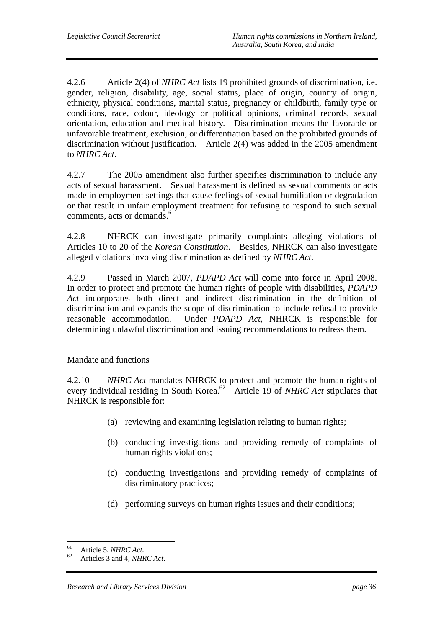4.2.6 Article 2(4) of *NHRC Act* lists 19 prohibited grounds of discrimination, i.e. gender, religion, disability, age, social status, place of origin, country of origin, ethnicity, physical conditions, marital status, pregnancy or childbirth, family type or conditions, race, colour, ideology or political opinions, criminal records, sexual orientation, education and medical history. Discrimination means the favorable or unfavorable treatment, exclusion, or differentiation based on the prohibited grounds of discrimination without justification. Article 2(4) was added in the 2005 amendment to *NHRC Act*.

4.2.7 The 2005 amendment also further specifies discrimination to include any acts of sexual harassment. Sexual harassment is defined as sexual comments or acts made in employment settings that cause feelings of sexual humiliation or degradation or that result in unfair employment treatment for refusing to respond to such sexual comments, acts or demands.<sup>61</sup>

4.2.8 NHRCK can investigate primarily complaints alleging violations of Articles 10 to 20 of the *Korean Constitution*. Besides, NHRCK can also investigate alleged violations involving discrimination as defined by *NHRC Act*.

4.2.9 Passed in March 2007, *PDAPD Act* will come into force in April 2008. In order to protect and promote the human rights of people with disabilities, *PDAPD Act* incorporates both direct and indirect discrimination in the definition of discrimination and expands the scope of discrimination to include refusal to provide reasonable accommodation. Under *PDAPD Act*, NHRCK is responsible for determining unlawful discrimination and issuing recommendations to redress them.

## Mandate and functions

4.2.10 *NHRC Act* mandates NHRCK to protect and promote the human rights of every individual residing in South Korea.<sup>62</sup> Article 19 of *NHRC Act* stipulates that NHRCK is responsible for:

- (a) reviewing and examining legislation relating to human rights;
- (b) conducting investigations and providing remedy of complaints of human rights violations;
- (c) conducting investigations and providing remedy of complaints of discriminatory practices;
- (d) performing surveys on human rights issues and their conditions;

<sup>61</sup> 

<sup>61</sup> Article 5, *NHRC Act*. 62 Articles 3 and 4, *NHRC Act*.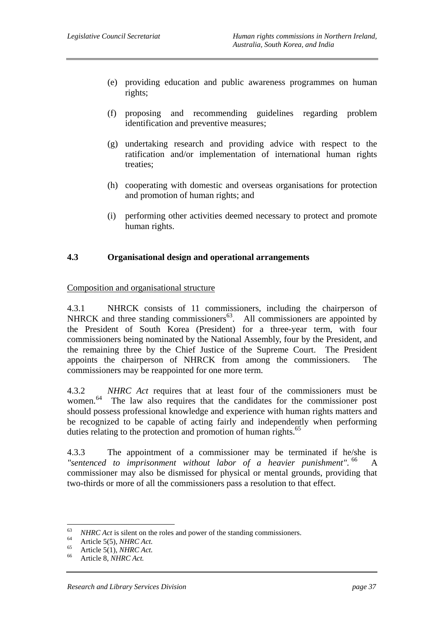- (e) providing education and public awareness programmes on human rights;
- (f) proposing and recommending guidelines regarding problem identification and preventive measures;
- (g) undertaking research and providing advice with respect to the ratification and/or implementation of international human rights treaties;
- (h) cooperating with domestic and overseas organisations for protection and promotion of human rights; and
- (i) performing other activities deemed necessary to protect and promote human rights.

#### **4.3 Organisational design and operational arrangements**

#### Composition and organisational structure

4.3.1 NHRCK consists of 11 commissioners, including the chairperson of NHRCK and three standing commissioners $^{63}$ . All commissioners are appointed by the President of South Korea (President) for a three-year term, with four commissioners being nominated by the National Assembly, four by the President, and the remaining three by the Chief Justice of the Supreme Court. The President appoints the chairperson of NHRCK from among the commissioners. The commissioners may be reappointed for one more term.

4.3.2 *NHRC Act* requires that at least four of the commissioners must be women.<sup>64</sup> The law also requires that the candidates for the commissioner post should possess professional knowledge and experience with human rights matters and be recognized to be capable of acting fairly and independently when performing duties relating to the protection and promotion of human rights.<sup>65</sup>

4.3.3 The appointment of a commissioner may be terminated if he/she is *"sentenced to imprisonment without labor of a heavier punishment"*. 66 A commissioner may also be dismissed for physical or mental grounds, providing that two-thirds or more of all the commissioners pass a resolution to that effect.

<sup>63</sup> <sup>63</sup> *NHRC Act* is silent on the roles and power of the standing commissioners. 64 Article 5(5), *NHRC Act.* 65 Article 5(1), *NHRC Act.* 66 Article 8, *NHRC Act.*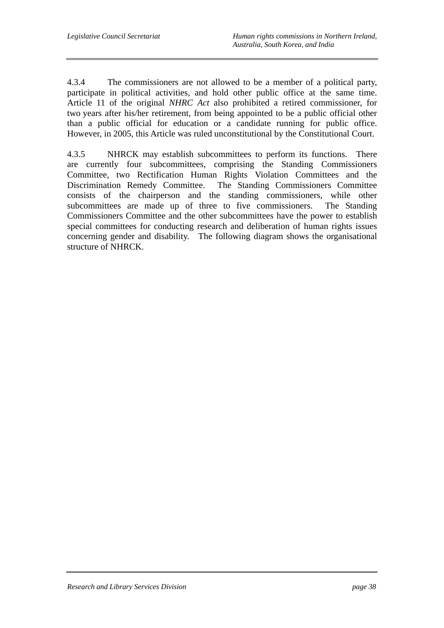4.3.4 The commissioners are not allowed to be a member of a political party, participate in political activities, and hold other public office at the same time. Article 11 of the original *NHRC Act* also prohibited a retired commissioner, for two years after his/her retirement, from being appointed to be a public official other than a public official for education or a candidate running for public office. However, in 2005, this Article was ruled unconstitutional by the Constitutional Court.

4.3.5 NHRCK may establish subcommittees to perform its functions. There are currently four subcommittees, comprising the Standing Commissioners Committee, two Rectification Human Rights Violation Committees and the Discrimination Remedy Committee. The Standing Commissioners Committee consists of the chairperson and the standing commissioners, while other subcommittees are made up of three to five commissioners. The Standing Commissioners Committee and the other subcommittees have the power to establish special committees for conducting research and deliberation of human rights issues concerning gender and disability. The following diagram shows the organisational structure of NHRCK.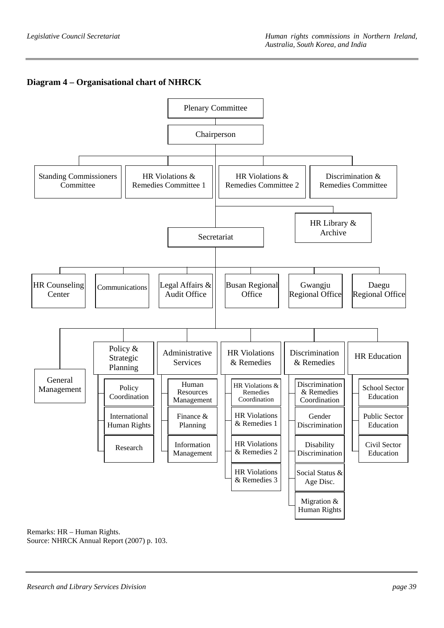# **Diagram 4 – Organisational chart of NHRCK**



Remarks: HR – Human Rights. Source: NHRCK Annual Report (2007) p. 103.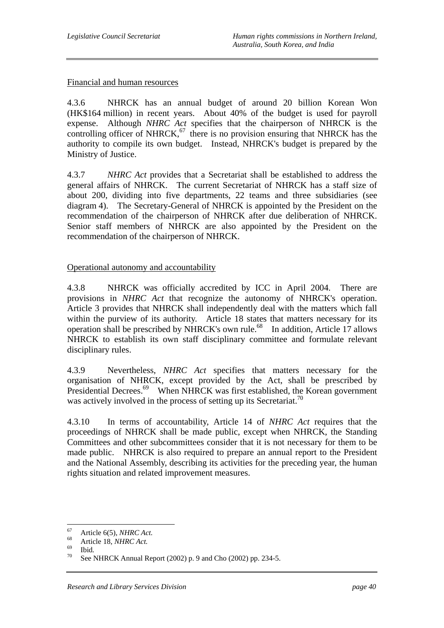#### Financial and human resources

4.3.6 NHRCK has an annual budget of around 20 billion Korean Won (HK\$164 million) in recent years. About 40% of the budget is used for payroll expense. Although *NHRC Act* specifies that the chairperson of NHRCK is the controlling officer of NHRCK, $67$  there is no provision ensuring that NHRCK has the authority to compile its own budget. Instead, NHRCK's budget is prepared by the Ministry of Justice.

4.3.7 *NHRC Act* provides that a Secretariat shall be established to address the general affairs of NHRCK. The current Secretariat of NHRCK has a staff size of about 200, dividing into five departments, 22 teams and three subsidiaries (see diagram 4). The Secretary-General of NHRCK is appointed by the President on the recommendation of the chairperson of NHRCK after due deliberation of NHRCK. Senior staff members of NHRCK are also appointed by the President on the recommendation of the chairperson of NHRCK.

#### Operational autonomy and accountability

4.3.8 NHRCK was officially accredited by ICC in April 2004. There are provisions in *NHRC Act* that recognize the autonomy of NHRCK's operation. Article 3 provides that NHRCK shall independently deal with the matters which fall within the purview of its authority. Article 18 states that matters necessary for its operation shall be prescribed by NHRCK's own rule.<sup>68</sup> In addition, Article 17 allows NHRCK to establish its own staff disciplinary committee and formulate relevant disciplinary rules.

4.3.9 Nevertheless, *NHRC Act* specifies that matters necessary for the organisation of NHRCK, except provided by the Act, shall be prescribed by Presidential Decrees.<sup>69</sup> When NHRCK was first established, the Korean government was actively involved in the process of setting up its Secretariat.<sup>70</sup>

4.3.10 In terms of accountability, Article 14 of *NHRC Act* requires that the proceedings of NHRCK shall be made public, except when NHRCK, the Standing Committees and other subcommittees consider that it is not necessary for them to be made public. NHRCK is also required to prepare an annual report to the President and the National Assembly, describing its activities for the preceding year, the human rights situation and related improvement measures.

<sup>67</sup> 

<sup>67</sup> Article 6(5), *NHRC Act.*<br>
68 Article 18, *NHRC Act.*<br>
<sup>69</sup> Ibid.<br>
<sup>70</sup> See NHRCK Annual Report (2002) p. 9 and Cho (2002) pp. 234-5.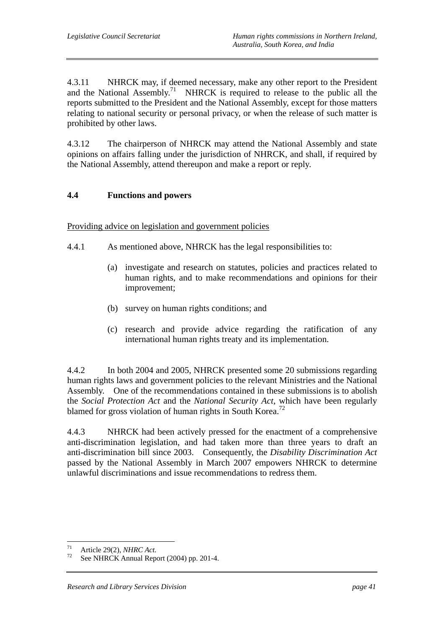4.3.11 NHRCK may, if deemed necessary, make any other report to the President and the National Assembly.<sup>71</sup> NHRCK is required to release to the public all the reports submitted to the President and the National Assembly, except for those matters relating to national security or personal privacy, or when the release of such matter is prohibited by other laws.

4.3.12 The chairperson of NHRCK may attend the National Assembly and state opinions on affairs falling under the jurisdiction of NHRCK, and shall, if required by the National Assembly, attend thereupon and make a report or reply.

## **4.4 Functions and powers**

Providing advice on legislation and government policies

- 4.4.1 As mentioned above, NHRCK has the legal responsibilities to:
	- (a) investigate and research on statutes, policies and practices related to human rights, and to make recommendations and opinions for their improvement;
	- (b) survey on human rights conditions; and
	- (c) research and provide advice regarding the ratification of any international human rights treaty and its implementation.

4.4.2 In both 2004 and 2005, NHRCK presented some 20 submissions regarding human rights laws and government policies to the relevant Ministries and the National Assembly. One of the recommendations contained in these submissions is to abolish the *Social Protection Act* and the *National Security Act*, which have been regularly blamed for gross violation of human rights in South Korea.<sup>72</sup>

4.4.3 NHRCK had been actively pressed for the enactment of a comprehensive anti-discrimination legislation, and had taken more than three years to draft an anti-discrimination bill since 2003. Consequently, the *Disability Discrimination Act* passed by the National Assembly in March 2007 empowers NHRCK to determine unlawful discriminations and issue recommendations to redress them.

 $71$ 

<sup>&</sup>lt;sup>71</sup> Article 29(2), *NHRC Act*.<br><sup>72</sup> See NHRCK Annual Report (2004) pp. 201-4.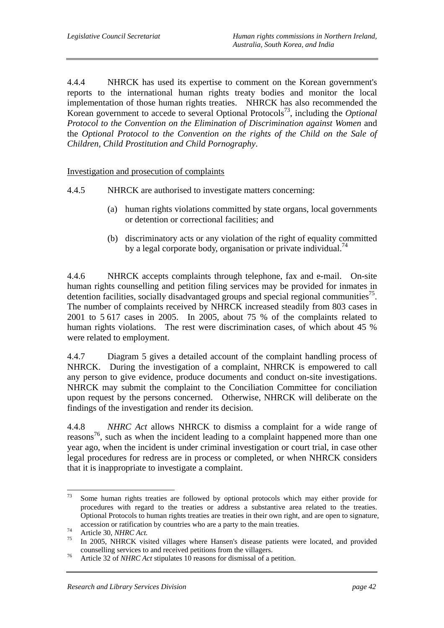4.4.4 NHRCK has used its expertise to comment on the Korean government's reports to the international human rights treaty bodies and monitor the local implementation of those human rights treaties. NHRCK has also recommended the Korean government to accede to several Optional Protocols<sup>73</sup>, including the *Optional Protocol to the Convention on the Elimination of Discrimination against Women* and the *Optional Protocol to the Convention on the rights of the Child on the Sale of Children, Child Prostitution and Child Pornography*.

Investigation and prosecution of complaints

- 4.4.5 NHRCK are authorised to investigate matters concerning:
	- (a) human rights violations committed by state organs, local governments or detention or correctional facilities; and
	- (b) discriminatory acts or any violation of the right of equality committed by a legal corporate body, organisation or private individual.<sup>74</sup>

4.4.6 NHRCK accepts complaints through telephone, fax and e-mail. On-site human rights counselling and petition filing services may be provided for inmates in detention facilities, socially disadvantaged groups and special regional communities<sup>75</sup>. The number of complaints received by NHRCK increased steadily from 803 cases in 2001 to 5 617 cases in 2005. In 2005, about 75 % of the complaints related to human rights violations. The rest were discrimination cases, of which about 45 % were related to employment.

4.4.7 Diagram 5 gives a detailed account of the complaint handling process of NHRCK. During the investigation of a complaint, NHRCK is empowered to call any person to give evidence, produce documents and conduct on-site investigations. NHRCK may submit the complaint to the Conciliation Committee for conciliation upon request by the persons concerned. Otherwise, NHRCK will deliberate on the findings of the investigation and render its decision.

4.4.8 *NHRC Act* allows NHRCK to dismiss a complaint for a wide range of reasons<sup>76</sup>, such as when the incident leading to a complaint happened more than one year ago, when the incident is under criminal investigation or court trial, in case other legal procedures for redress are in process or completed, or when NHRCK considers that it is inappropriate to investigate a complaint.

<sup>73</sup> 73 Some human rights treaties are followed by optional protocols which may either provide for procedures with regard to the treaties or address a substantive area related to the treaties. Optional Protocols to human rights treaties are treaties in their own right, and are open to signature,

accession or ratification by countries who are a party to the main treaties.<br>
<sup>74</sup> Article 30, *NHRC Act*.<br>
<sup>75</sup> In 2005, NHRCK visited villages where Hansen's disease patients were located, and provided counselling services to and received petitions from the villagers. 76 Article 32 of *NHRC Act* stipulates 10 reasons for dismissal of a petition.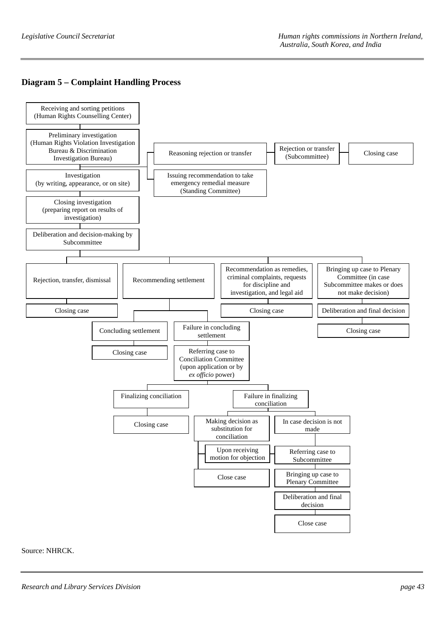# **Diagram 5 – Complaint Handling Process**



Source: NHRCK.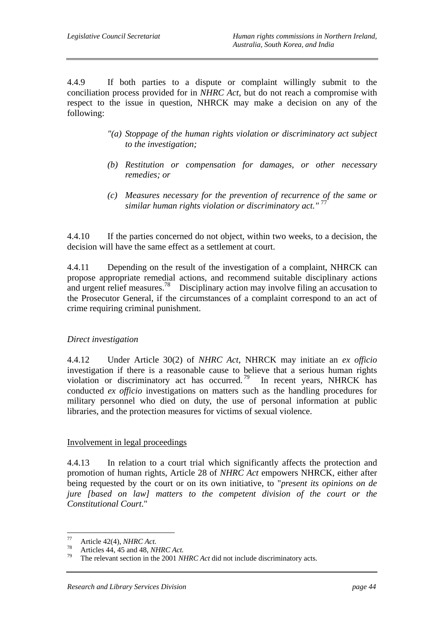4.4.9 If both parties to a dispute or complaint willingly submit to the conciliation process provided for in *NHRC Act*, but do not reach a compromise with respect to the issue in question, NHRCK may make a decision on any of the following:

- *"(a) Stoppage of the human rights violation or discriminatory act subject to the investigation;*
- *(b) Restitution or compensation for damages, or other necessary remedies; or*
- *(c) Measures necessary for the prevention of recurrence of the same or similar human rights violation or discriminatory act."* <sup>77</sup>

4.4.10 If the parties concerned do not object, within two weeks, to a decision, the decision will have the same effect as a settlement at court.

4.4.11 Depending on the result of the investigation of a complaint, NHRCK can propose appropriate remedial actions, and recommend suitable disciplinary actions and urgent relief measures.<sup>78</sup> Disciplinary action may involve filing an accusation to the Prosecutor General, if the circumstances of a complaint correspond to an act of crime requiring criminal punishment.

## *Direct investigation*

4.4.12 Under Article 30(2) of *NHRC Act*, NHRCK may initiate an *ex officio* investigation if there is a reasonable cause to believe that a serious human rights violation or discriminatory act has occurred.<sup>79</sup> In recent years, NHRCK has conducted *ex officio* investigations on matters such as the handling procedures for military personnel who died on duty, the use of personal information at public libraries, and the protection measures for victims of sexual violence.

#### Involvement in legal proceedings

4.4.13 In relation to a court trial which significantly affects the protection and promotion of human rights, Article 28 of *NHRC Act* empowers NHRCK, either after being requested by the court or on its own initiative, to "*present its opinions on de jure [based on law] matters to the competent division of the court or the Constitutional Court*."

<sup>77</sup> 

<sup>77</sup> Article 42(4), *NHRC Act.* 78 Articles 44, 45 and 48, *NHRC Act.* 79 The relevant section in the 2001 *NHRC Act* did not include discriminatory acts.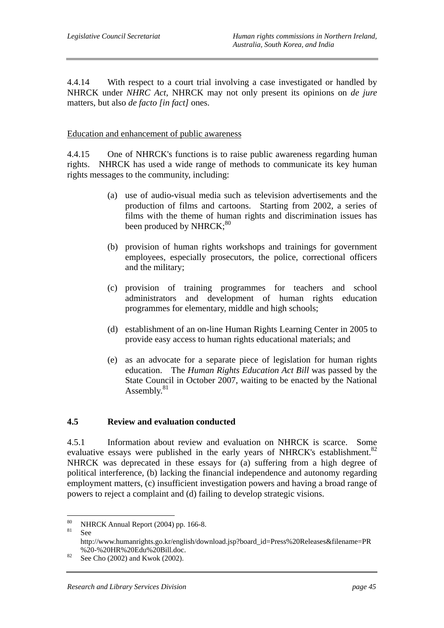4.4.14 With respect to a court trial involving a case investigated or handled by NHRCK under *NHRC Act*, NHRCK may not only present its opinions on *de jure* matters, but also *de facto [in fact]* ones.

#### Education and enhancement of public awareness

4.4.15 One of NHRCK's functions is to raise public awareness regarding human rights. NHRCK has used a wide range of methods to communicate its key human rights messages to the community, including:

- (a) use of audio-visual media such as television advertisements and the production of films and cartoons. Starting from 2002, a series of films with the theme of human rights and discrimination issues has been produced by  $NHRCK$ ;<sup>80</sup>
- (b) provision of human rights workshops and trainings for government employees, especially prosecutors, the police, correctional officers and the military;
- (c) provision of training programmes for teachers and school administrators and development of human rights education programmes for elementary, middle and high schools;
- (d) establishment of an on-line Human Rights Learning Center in 2005 to provide easy access to human rights educational materials; and
- (e) as an advocate for a separate piece of legislation for human rights education. The *Human Rights Education Act Bill* was passed by the State Council in October 2007, waiting to be enacted by the National Assembly. $81$

## **4.5 Review and evaluation conducted**

4.5.1 Information about review and evaluation on NHRCK is scarce. Some evaluative essays were published in the early years of NHRCK's establishment.<sup>82</sup> NHRCK was deprecated in these essays for (a) suffering from a high degree of political interference, (b) lacking the financial independence and autonomy regarding employment matters, (c) insufficient investigation powers and having a broad range of powers to reject a complaint and (d) failing to develop strategic visions.

 $80<sup>2</sup>$  $^{80}$  NHRCK Annual Report (2004) pp. 166-8.

See

http://www.humanrights.go.kr/english/download.jsp?board\_id=Press%20Releases&filename=PR

<sup>%20-%20</sup>HR%20Edu%20Bill.doc.<br>See Cho (2002) and Kwok (2002).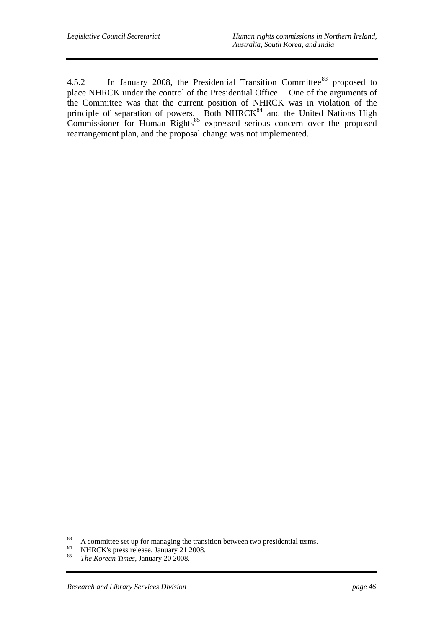4.5.2 In January 2008, the Presidential Transition Committee<sup>83</sup> proposed to place NHRCK under the control of the Presidential Office. One of the arguments of the Committee was that the current position of NHRCK was in violation of the principle of separation of powers. Both NHRCK<sup>84</sup> and the United Nations High Commissioner for Human Rights<sup>85</sup> expressed serious concern over the proposed rearrangement plan, and the proposal change was not implemented.

 $83\,$ 83 A committee set up for managing the transition between two presidential terms.<br>
84 NHRCK's press release, January 21 2008.<br>
85 The Korean Times, January 20 2008.

<sup>85</sup> *The Korean Times*, January 20 2008.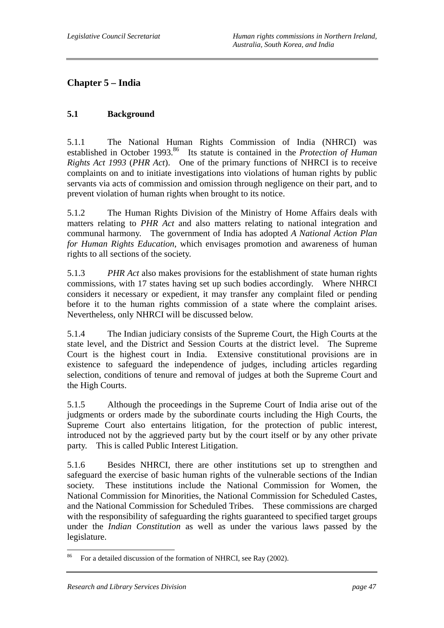# **Chapter 5 – India**

## **5.1 Background**

5.1.1 The National Human Rights Commission of India (NHRCI) was established in October 1993.<sup>86</sup> Its statute is contained in the *Protection of Human Rights Act 1993* (*PHR Act*). One of the primary functions of NHRCI is to receive complaints on and to initiate investigations into violations of human rights by public servants via acts of commission and omission through negligence on their part, and to prevent violation of human rights when brought to its notice.

5.1.2 The Human Rights Division of the Ministry of Home Affairs deals with matters relating to *PHR Act* and also matters relating to national integration and communal harmony. The government of India has adopted *A National Action Plan for Human Rights Education*, which envisages promotion and awareness of human rights to all sections of the society.

5.1.3 *PHR Act* also makes provisions for the establishment of state human rights commissions, with 17 states having set up such bodies accordingly. Where NHRCI considers it necessary or expedient, it may transfer any complaint filed or pending before it to the human rights commission of a state where the complaint arises. Nevertheless, only NHRCI will be discussed below.

5.1.4 The Indian judiciary consists of the Supreme Court, the High Courts at the state level, and the District and Session Courts at the district level. The Supreme Court is the highest court in India. Extensive constitutional provisions are in existence to safeguard the independence of judges, including articles regarding selection, conditions of tenure and removal of judges at both the Supreme Court and the High Courts.

5.1.5 Although the proceedings in the Supreme Court of India arise out of the judgments or orders made by the subordinate courts including the High Courts, the Supreme Court also entertains litigation, for the protection of public interest, introduced not by the aggrieved party but by the court itself or by any other private party. This is called Public Interest Litigation.

5.1.6 Besides NHRCI, there are other institutions set up to strengthen and safeguard the exercise of basic human rights of the vulnerable sections of the Indian society. These institutions include the National Commission for Women, the National Commission for Minorities, the National Commission for Scheduled Castes, and the National Commission for Scheduled Tribes. These commissions are charged with the responsibility of safeguarding the rights guaranteed to specified target groups under the *Indian Constitution* as well as under the various laws passed by the legislature.

<sup>86</sup> 86 For a detailed discussion of the formation of NHRCI, see Ray (2002).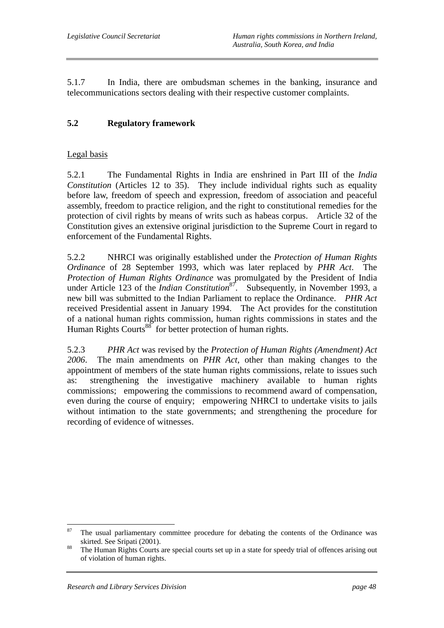5.1.7 In India, there are ombudsman schemes in the banking, insurance and telecommunications sectors dealing with their respective customer complaints.

## **5.2 Regulatory framework**

#### Legal basis

5.2.1 The Fundamental Rights in India are enshrined in Part III of the *India Constitution* (Articles 12 to 35). They include individual rights such as equality before law, freedom of speech and expression, freedom of association and peaceful assembly, freedom to practice religion, and the right to constitutional remedies for the protection of civil rights by means of writs such as habeas corpus. Article 32 of the Constitution gives an extensive original jurisdiction to the Supreme Court in regard to enforcement of the Fundamental Rights.

5.2.2 NHRCI was originally established under the *Protection of Human Rights Ordinance* of 28 September 1993, which was later replaced by *PHR Act*. The *Protection of Human Rights Ordinance* was promulgated by the President of India under Article 123 of the *Indian Constitution*<sup>87</sup>. Subsequently, in November 1993, a new bill was submitted to the Indian Parliament to replace the Ordinance. *PHR Act* received Presidential assent in January 1994. The Act provides for the constitution of a national human rights commission, human rights commissions in states and the Human Rights Courts<sup>88</sup> for better protection of human rights.

5.2.3 *PHR Act* was revised by the *Protection of Human Rights (Amendment) Act 2006*. The main amendments on *PHR Act*, other than making changes to the appointment of members of the state human rights commissions, relate to issues such as: strengthening the investigative machinery available to human rights commissions; empowering the commissions to recommend award of compensation, even during the course of enquiry; empowering NHRCI to undertake visits to jails without intimation to the state governments; and strengthening the procedure for recording of evidence of witnesses.

<sup>87</sup> The usual parliamentary committee procedure for debating the contents of the Ordinance was skirted. See Sripati (2001).<br><sup>88</sup> The Human Rights Courts are special courts set up in a state for speedy trial of offences arising out

of violation of human rights.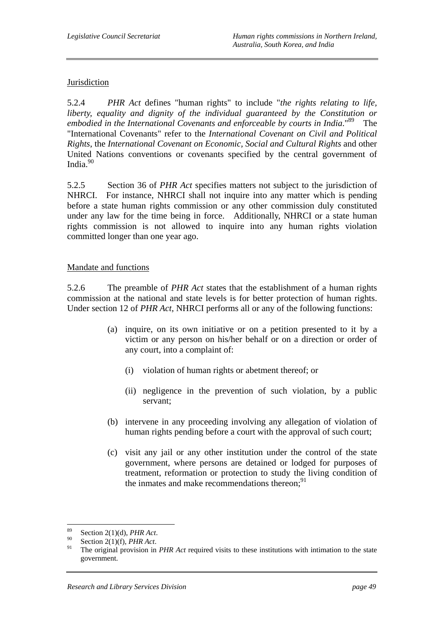#### Jurisdiction

5.2.4 *PHR Act* defines "human rights" to include "*the rights relating to life, liberty, equality and dignity of the individual guaranteed by the Constitution or embodied in the International Covenants and enforceable by courts in India*."89 The "International Covenants" refer to the *International Covenant on Civil and Political Rights*, the *International Covenant on Economic, Social and Cultural Rights* and other United Nations conventions or covenants specified by the central government of India $\frac{90}{2}$ 

5.2.5 Section 36 of *PHR Act* specifies matters not subject to the jurisdiction of NHRCI. For instance, NHRCI shall not inquire into any matter which is pending before a state human rights commission or any other commission duly constituted under any law for the time being in force. Additionally, NHRCI or a state human rights commission is not allowed to inquire into any human rights violation committed longer than one year ago.

#### Mandate and functions

5.2.6 The preamble of *PHR Act* states that the establishment of a human rights commission at the national and state levels is for better protection of human rights. Under section 12 of *PHR Act*, NHRCI performs all or any of the following functions:

- (a) inquire, on its own initiative or on a petition presented to it by a victim or any person on his/her behalf or on a direction or order of any court, into a complaint of:
	- (i) violation of human rights or abetment thereof; or
	- (ii) negligence in the prevention of such violation, by a public servant;
- (b) intervene in any proceeding involving any allegation of violation of human rights pending before a court with the approval of such court;
- (c) visit any jail or any other institution under the control of the state government, where persons are detained or lodged for purposes of treatment, reformation or protection to study the living condition of the inmates and make recommendations thereon; $^{91}$

<sup>89</sup> 

<sup>89</sup> Section 2(1)(d), *PHR Act*.<br><sup>90</sup> Section 2(1)(f), *PHR Act*.<br><sup>91</sup> The original provision in *PHR Act* required visits to these institutions with intimation to the state government.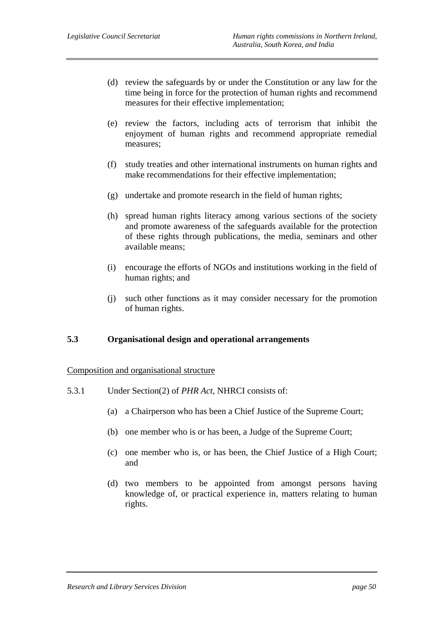- (d) review the safeguards by or under the Constitution or any law for the time being in force for the protection of human rights and recommend measures for their effective implementation;
- (e) review the factors, including acts of terrorism that inhibit the enjoyment of human rights and recommend appropriate remedial measures;
- (f) study treaties and other international instruments on human rights and make recommendations for their effective implementation;
- (g) undertake and promote research in the field of human rights;
- (h) spread human rights literacy among various sections of the society and promote awareness of the safeguards available for the protection of these rights through publications, the media, seminars and other available means;
- (i) encourage the efforts of NGOs and institutions working in the field of human rights; and
- (j) such other functions as it may consider necessary for the promotion of human rights.

#### **5.3 Organisational design and operational arrangements**

#### Composition and organisational structure

- 5.3.1 Under Section(2) of *PHR Act*, NHRCI consists of:
	- (a) a Chairperson who has been a Chief Justice of the Supreme Court;
	- (b) one member who is or has been, a Judge of the Supreme Court;
	- (c) one member who is, or has been, the Chief Justice of a High Court; and
	- (d) two members to be appointed from amongst persons having knowledge of, or practical experience in, matters relating to human rights.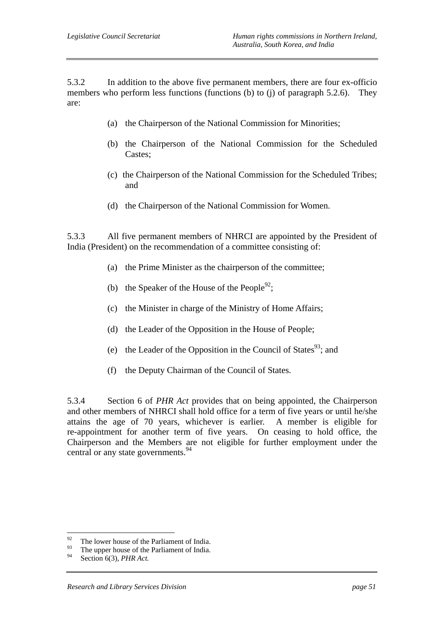5.3.2 In addition to the above five permanent members, there are four ex-officio members who perform less functions (functions (b) to (j) of paragraph 5.2.6). They are:

- (a) the Chairperson of the National Commission for Minorities;
- (b) the Chairperson of the National Commission for the Scheduled Castes;
- (c) the Chairperson of the National Commission for the Scheduled Tribes; and
- (d) the Chairperson of the National Commission for Women.

5.3.3 All five permanent members of NHRCI are appointed by the President of India (President) on the recommendation of a committee consisting of:

- (a) the Prime Minister as the chairperson of the committee;
- (b) the Speaker of the House of the People<sup>92</sup>;
- (c) the Minister in charge of the Ministry of Home Affairs;
- (d) the Leader of the Opposition in the House of People;
- (e) the Leader of the Opposition in the Council of States<sup>93</sup>; and
- (f) the Deputy Chairman of the Council of States.

5.3.4 Section 6 of *PHR Act* provides that on being appointed, the Chairperson and other members of NHRCI shall hold office for a term of five years or until he/she attains the age of 70 years, whichever is earlier. A member is eligible for re-appointment for another term of five years. On ceasing to hold office, the Chairperson and the Members are not eligible for further employment under the central or any state governments.<sup>94</sup>

<sup>92</sup> <sup>92</sup> The lower house of the Parliament of India.

<sup>&</sup>lt;sup>93</sup> The upper house of the Parliament of India.

Section 6(3), *PHR Act.*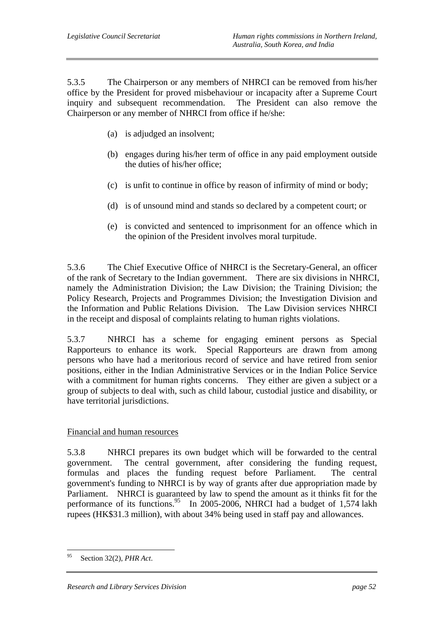5.3.5 The Chairperson or any members of NHRCI can be removed from his/her office by the President for proved misbehaviour or incapacity after a Supreme Court inquiry and subsequent recommendation. The President can also remove the Chairperson or any member of NHRCI from office if he/she:

- (a) is adjudged an insolvent;
- (b) engages during his/her term of office in any paid employment outside the duties of his/her office;
- (c) is unfit to continue in office by reason of infirmity of mind or body;
- (d) is of unsound mind and stands so declared by a competent court; or
- (e) is convicted and sentenced to imprisonment for an offence which in the opinion of the President involves moral turpitude.

5.3.6 The Chief Executive Office of NHRCI is the Secretary-General, an officer of the rank of Secretary to the Indian government. There are six divisions in NHRCI, namely the Administration Division; the Law Division; the Training Division; the Policy Research, Projects and Programmes Division; the Investigation Division and the Information and Public Relations Division. The Law Division services NHRCI in the receipt and disposal of complaints relating to human rights violations.

5.3.7 NHRCI has a scheme for engaging eminent persons as Special Rapporteurs to enhance its work. Special Rapporteurs are drawn from among persons who have had a meritorious record of service and have retired from senior positions, either in the Indian Administrative Services or in the Indian Police Service with a commitment for human rights concerns. They either are given a subject or a group of subjects to deal with, such as child labour, custodial justice and disability, or have territorial jurisdictions.

#### Financial and human resources

5.3.8 NHRCI prepares its own budget which will be forwarded to the central government. The central government, after considering the funding request, formulas and places the funding request before Parliament. The central government's funding to NHRCI is by way of grants after due appropriation made by Parliament. NHRCI is guaranteed by law to spend the amount as it thinks fit for the performance of its functions.<sup>95</sup> In 2005-2006, NHRCI had a budget of 1,574 lakh rupees (HK\$31.3 million), with about 34% being used in staff pay and allowances.

<sup>95</sup> 95 Section 32(2), *PHR Act*.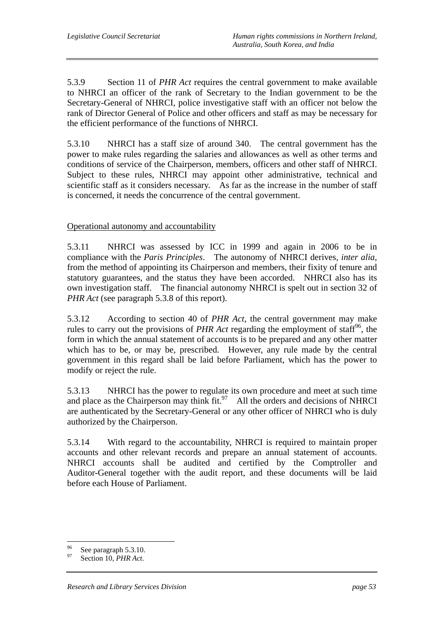5.3.9 Section 11 of *PHR Act* requires the central government to make available to NHRCI an officer of the rank of Secretary to the Indian government to be the Secretary-General of NHRCI, police investigative staff with an officer not below the rank of Director General of Police and other officers and staff as may be necessary for the efficient performance of the functions of NHRCI.

5.3.10 NHRCI has a staff size of around 340. The central government has the power to make rules regarding the salaries and allowances as well as other terms and conditions of service of the Chairperson, members, officers and other staff of NHRCI. Subject to these rules, NHRCI may appoint other administrative, technical and scientific staff as it considers necessary. As far as the increase in the number of staff is concerned, it needs the concurrence of the central government.

## Operational autonomy and accountability

5.3.11 NHRCI was assessed by ICC in 1999 and again in 2006 to be in compliance with the *Paris Principles*. The autonomy of NHRCI derives, *inter alia*, from the method of appointing its Chairperson and members, their fixity of tenure and statutory guarantees, and the status they have been accorded. NHRCI also has its own investigation staff. The financial autonomy NHRCI is spelt out in section 32 of *PHR Act* (see paragraph 5.3.8 of this report).

5.3.12 According to section 40 of *PHR Act*, the central government may make rules to carry out the provisions of *PHR Act* regarding the employment of staff<sup>96</sup>, the form in which the annual statement of accounts is to be prepared and any other matter which has to be, or may be, prescribed. However, any rule made by the central government in this regard shall be laid before Parliament, which has the power to modify or reject the rule.

5.3.13 NHRCI has the power to regulate its own procedure and meet at such time and place as the Chairperson may think fit.<sup>97</sup> All the orders and decisions of NHRCI are authenticated by the Secretary-General or any other officer of NHRCI who is duly authorized by the Chairperson.

5.3.14 With regard to the accountability, NHRCI is required to maintain proper accounts and other relevant records and prepare an annual statement of accounts. NHRCI accounts shall be audited and certified by the Comptroller and Auditor-General together with the audit report, and these documents will be laid before each House of Parliament.

 $\overline{a}$ 

 $^{96}$  See paragraph 5.3.10.

Section 10, *PHR Act*.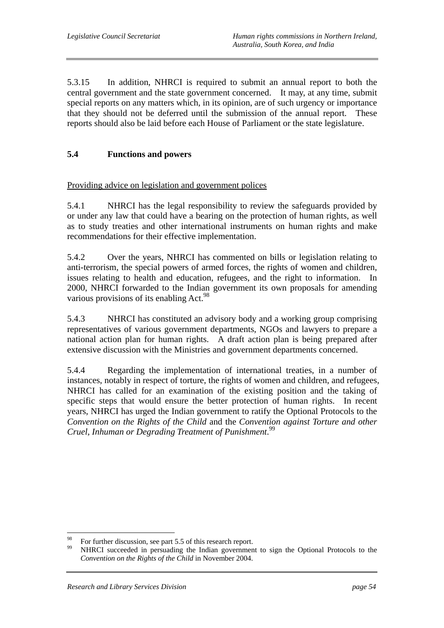5.3.15 In addition, NHRCI is required to submit an annual report to both the central government and the state government concerned. It may, at any time, submit special reports on any matters which, in its opinion, are of such urgency or importance that they should not be deferred until the submission of the annual report. These reports should also be laid before each House of Parliament or the state legislature.

## **5.4 Functions and powers**

Providing advice on legislation and government polices

5.4.1 NHRCI has the legal responsibility to review the safeguards provided by or under any law that could have a bearing on the protection of human rights, as well as to study treaties and other international instruments on human rights and make recommendations for their effective implementation.

5.4.2 Over the years, NHRCI has commented on bills or legislation relating to anti-terrorism, the special powers of armed forces, the rights of women and children, issues relating to health and education, refugees, and the right to information. In 2000, NHRCI forwarded to the Indian government its own proposals for amending various provisions of its enabling  $Act.^{98}$ .

5.4.3 NHRCI has constituted an advisory body and a working group comprising representatives of various government departments, NGOs and lawyers to prepare a national action plan for human rights. A draft action plan is being prepared after extensive discussion with the Ministries and government departments concerned.

5.4.4 Regarding the implementation of international treaties, in a number of instances, notably in respect of torture, the rights of women and children, and refugees, NHRCI has called for an examination of the existing position and the taking of specific steps that would ensure the better protection of human rights. In recent years, NHRCI has urged the Indian government to ratify the Optional Protocols to the *Convention on the Rights of the Child* and the *Convention against Torture and other Cruel, Inhuman or Degrading Treatment of Punishment*. 99

 $\overline{a}$ 

<sup>&</sup>lt;sup>98</sup> For further discussion, see part 5.5 of this research report.

NHRCI succeeded in persuading the Indian government to sign the Optional Protocols to the *Convention on the Rights of the Child* in November 2004.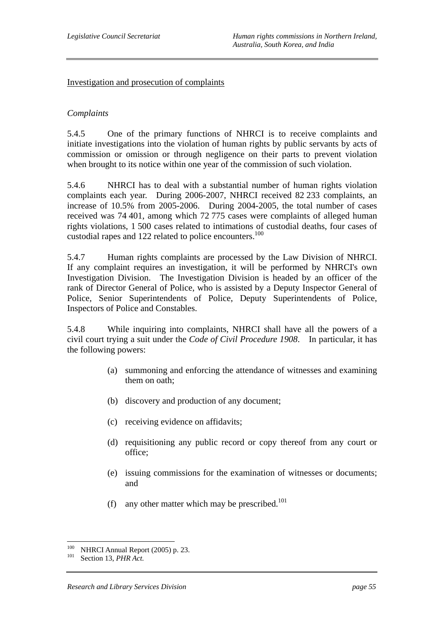Investigation and prosecution of complaints

### *Complaints*

5.4.5 One of the primary functions of NHRCI is to receive complaints and initiate investigations into the violation of human rights by public servants by acts of commission or omission or through negligence on their parts to prevent violation when brought to its notice within one year of the commission of such violation.

5.4.6 NHRCI has to deal with a substantial number of human rights violation complaints each year. During 2006-2007, NHRCI received 82 233 complaints, an increase of 10.5% from 2005-2006. During 2004-2005, the total number of cases received was 74 401, among which 72 775 cases were complaints of alleged human rights violations, 1 500 cases related to intimations of custodial deaths, four cases of custodial rapes and 122 related to police encounters.<sup>100</sup>

5.4.7 Human rights complaints are processed by the Law Division of NHRCI. If any complaint requires an investigation, it will be performed by NHRCI's own Investigation Division. The Investigation Division is headed by an officer of the rank of Director General of Police, who is assisted by a Deputy Inspector General of Police, Senior Superintendents of Police, Deputy Superintendents of Police, Inspectors of Police and Constables.

5.4.8 While inquiring into complaints, NHRCI shall have all the powers of a civil court trying a suit under the *Code of Civil Procedure 1908*. In particular, it has the following powers:

- (a) summoning and enforcing the attendance of witnesses and examining them on oath;
- (b) discovery and production of any document;
- (c) receiving evidence on affidavits;
- (d) requisitioning any public record or copy thereof from any court or office;
- (e) issuing commissions for the examination of witnesses or documents; and
- (f) any other matter which may be prescribed.<sup>101</sup>

<sup>100</sup> 100 NHRCI Annual Report (2005) p. 23. 101 Section 13, *PHR Act.*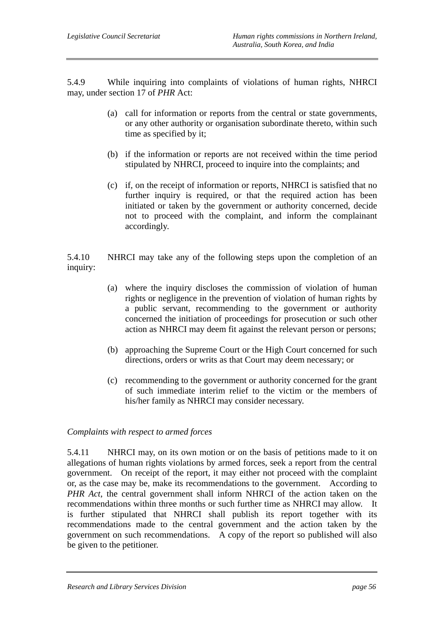5.4.9 While inquiring into complaints of violations of human rights, NHRCI may, under section 17 of *PHR* Act:

- (a) call for information or reports from the central or state governments, or any other authority or organisation subordinate thereto, within such time as specified by it;
- (b) if the information or reports are not received within the time period stipulated by NHRCI, proceed to inquire into the complaints; and
- (c) if, on the receipt of information or reports, NHRCI is satisfied that no further inquiry is required, or that the required action has been initiated or taken by the government or authority concerned, decide not to proceed with the complaint, and inform the complainant accordingly.

5.4.10 NHRCI may take any of the following steps upon the completion of an inquiry:

- (a) where the inquiry discloses the commission of violation of human rights or negligence in the prevention of violation of human rights by a public servant, recommending to the government or authority concerned the initiation of proceedings for prosecution or such other action as NHRCI may deem fit against the relevant person or persons;
- (b) approaching the Supreme Court or the High Court concerned for such directions, orders or writs as that Court may deem necessary; or
- (c) recommending to the government or authority concerned for the grant of such immediate interim relief to the victim or the members of his/her family as NHRCI may consider necessary.

## *Complaints with respect to armed forces*

5.4.11 NHRCI may, on its own motion or on the basis of petitions made to it on allegations of human rights violations by armed forces, seek a report from the central government. On receipt of the report, it may either not proceed with the complaint or, as the case may be, make its recommendations to the government. According to *PHR Act*, the central government shall inform NHRCI of the action taken on the recommendations within three months or such further time as NHRCI may allow. It is further stipulated that NHRCI shall publish its report together with its recommendations made to the central government and the action taken by the government on such recommendations. A copy of the report so published will also be given to the petitioner.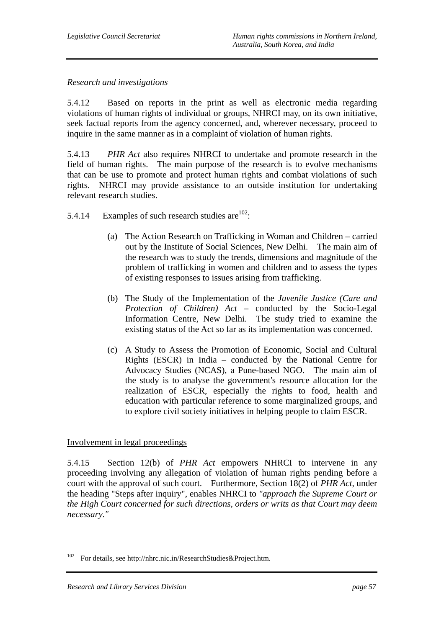*Research and investigations*

5.4.12 Based on reports in the print as well as electronic media regarding violations of human rights of individual or groups, NHRCI may, on its own initiative, seek factual reports from the agency concerned, and, wherever necessary, proceed to inquire in the same manner as in a complaint of violation of human rights.

5.4.13 *PHR Act* also requires NHRCI to undertake and promote research in the field of human rights. The main purpose of the research is to evolve mechanisms that can be use to promote and protect human rights and combat violations of such rights. NHRCI may provide assistance to an outside institution for undertaking relevant research studies.

5.4.14 Examples of such research studies are  $102$ .

- (a) The Action Research on Trafficking in Woman and Children carried out by the Institute of Social Sciences, New Delhi. The main aim of the research was to study the trends, dimensions and magnitude of the problem of trafficking in women and children and to assess the types of existing responses to issues arising from trafficking.
- (b) The Study of the Implementation of the *Juvenile Justice (Care and Protection of Children) Act* – conducted by the Socio-Legal Information Centre, New Delhi. The study tried to examine the existing status of the Act so far as its implementation was concerned.
- (c) A Study to Assess the Promotion of Economic, Social and Cultural Rights (ESCR) in India – conducted by the National Centre for Advocacy Studies (NCAS), a Pune-based NGO. The main aim of the study is to analyse the government's resource allocation for the realization of ESCR, especially the rights to food, health and education with particular reference to some marginalized groups, and to explore civil society initiatives in helping people to claim ESCR.

#### Involvement in legal proceedings

5.4.15 Section 12(b) of *PHR Act* empowers NHRCI to intervene in any proceeding involving any allegation of violation of human rights pending before a court with the approval of such court. Furthermore, Section 18(2) of *PHR Act*, under the heading "Steps after inquiry", enables NHRCI to *"approach the Supreme Court or the High Court concerned for such directions, orders or writs as that Court may deem necessary*.*"*

 $\overline{a}$ 

 $102$  For details, see http://nhrc.nic.in/ResearchStudies&Project.htm.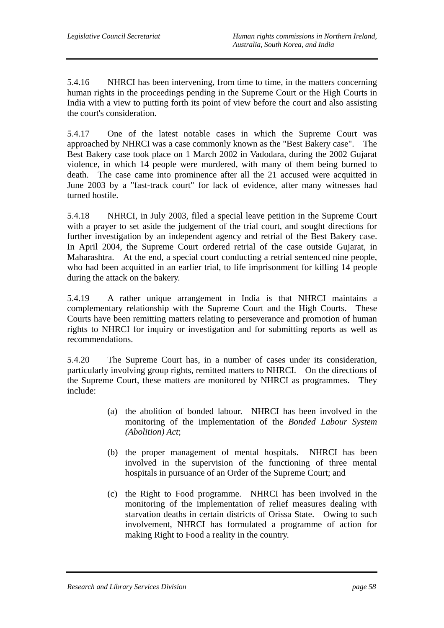5.4.16 NHRCI has been intervening, from time to time, in the matters concerning human rights in the proceedings pending in the Supreme Court or the High Courts in India with a view to putting forth its point of view before the court and also assisting the court's consideration.

5.4.17 One of the latest notable cases in which the Supreme Court was approached by NHRCI was a case commonly known as the "Best Bakery case". The Best Bakery case took place on 1 March 2002 in Vadodara, during the 2002 Gujarat violence, in which 14 people were murdered, with many of them being burned to death. The case came into prominence after all the 21 accused were acquitted in June 2003 by a "fast-track court" for lack of evidence, after many witnesses had turned hostile.

5.4.18 NHRCI, in July 2003, filed a special leave petition in the Supreme Court with a prayer to set aside the judgement of the trial court, and sought directions for further investigation by an independent agency and retrial of the Best Bakery case. In April 2004, the Supreme Court ordered retrial of the case outside Gujarat, in Maharashtra. At the end, a special court conducting a retrial sentenced nine people, who had been acquitted in an earlier trial, to life imprisonment for killing 14 people during the attack on the bakery.

5.4.19 A rather unique arrangement in India is that NHRCI maintains a complementary relationship with the Supreme Court and the High Courts. These Courts have been remitting matters relating to perseverance and promotion of human rights to NHRCI for inquiry or investigation and for submitting reports as well as recommendations.

5.4.20 The Supreme Court has, in a number of cases under its consideration, particularly involving group rights, remitted matters to NHRCI. On the directions of the Supreme Court, these matters are monitored by NHRCI as programmes. They include:

- (a) the abolition of bonded labour. NHRCI has been involved in the monitoring of the implementation of the *Bonded Labour System (Abolition) Act*;
- (b) the proper management of mental hospitals. NHRCI has been involved in the supervision of the functioning of three mental hospitals in pursuance of an Order of the Supreme Court; and
- (c) the Right to Food programme. NHRCI has been involved in the monitoring of the implementation of relief measures dealing with starvation deaths in certain districts of Orissa State. Owing to such involvement, NHRCI has formulated a programme of action for making Right to Food a reality in the country.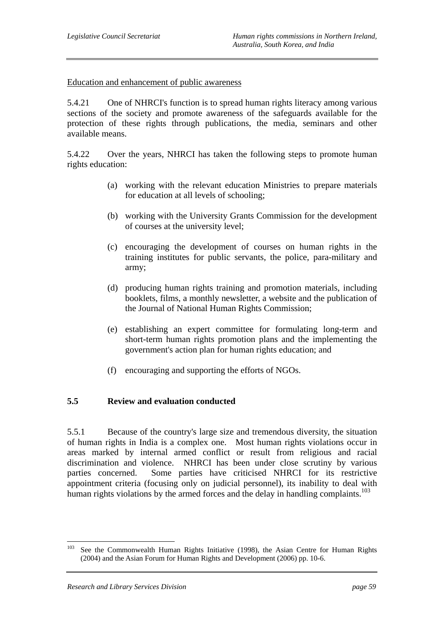#### Education and enhancement of public awareness

5.4.21 One of NHRCI's function is to spread human rights literacy among various sections of the society and promote awareness of the safeguards available for the protection of these rights through publications, the media, seminars and other available means.

5.4.22 Over the years, NHRCI has taken the following steps to promote human rights education:

- (a) working with the relevant education Ministries to prepare materials for education at all levels of schooling;
- (b) working with the University Grants Commission for the development of courses at the university level;
- (c) encouraging the development of courses on human rights in the training institutes for public servants, the police, para-military and army;
- (d) producing human rights training and promotion materials, including booklets, films, a monthly newsletter, a website and the publication of the Journal of National Human Rights Commission;
- (e) establishing an expert committee for formulating long-term and short-term human rights promotion plans and the implementing the government's action plan for human rights education; and
- (f) encouraging and supporting the efforts of NGOs.

#### **5.5 Review and evaluation conducted**

5.5.1 Because of the country's large size and tremendous diversity, the situation of human rights in India is a complex one. Most human rights violations occur in areas marked by internal armed conflict or result from religious and racial discrimination and violence. NHRCI has been under close scrutiny by various parties concerned. Some parties have criticised NHRCI for its restrictive appointment criteria (focusing only on judicial personnel), its inability to deal with human rights violations by the armed forces and the delay in handling complaints.<sup>103</sup>

<sup>103</sup> See the Commonwealth Human Rights Initiative (1998), the Asian Centre for Human Rights (2004) and the Asian Forum for Human Rights and Development (2006) pp. 10-6.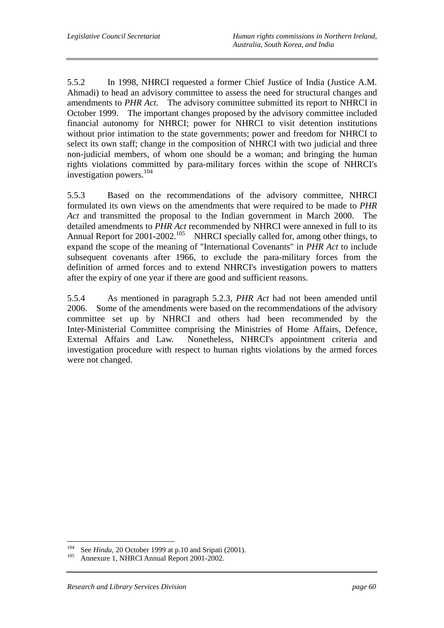5.5.2 In 1998, NHRCI requested a former Chief Justice of India (Justice A.M. Ahmadi) to head an advisory committee to assess the need for structural changes and amendments to *PHR Act.* The advisory committee submitted its report to NHRCI in October 1999. The important changes proposed by the advisory committee included financial autonomy for NHRCI; power for NHRCI to visit detention institutions without prior intimation to the state governments; power and freedom for NHRCI to select its own staff; change in the composition of NHRCI with two judicial and three non-judicial members, of whom one should be a woman; and bringing the human rights violations committed by para-military forces within the scope of NHRCI's investigation powers.104

5.5.3 Based on the recommendations of the advisory committee, NHRCI formulated its own views on the amendments that were required to be made to *PHR Act* and transmitted the proposal to the Indian government in March 2000. The detailed amendments to *PHR Act* recommended by NHRCI were annexed in full to its Annual Report for 2001-2002.<sup>105</sup> NHRCI specially called for, among other things, to expand the scope of the meaning of "International Covenants" in *PHR Act* to include subsequent covenants after 1966, to exclude the para-military forces from the definition of armed forces and to extend NHRCI's investigation powers to matters after the expiry of one year if there are good and sufficient reasons.

5.5.4 As mentioned in paragraph 5.2.3, *PHR Act* had not been amended until 2006. Some of the amendments were based on the recommendations of the advisory committee set up by NHRCI and others had been recommended by the Inter-Ministerial Committee comprising the Ministries of Home Affairs, Defence, External Affairs and Law. Nonetheless, NHRCI's appointment criteria and investigation procedure with respect to human rights violations by the armed forces were not changed.

<sup>104</sup> <sup>104</sup> See *Hindu*, 20 October 1999 at p.10 and Sripati (2001).<br><sup>105</sup> Annexure 1, NHRCI Annual Report 2001-2002.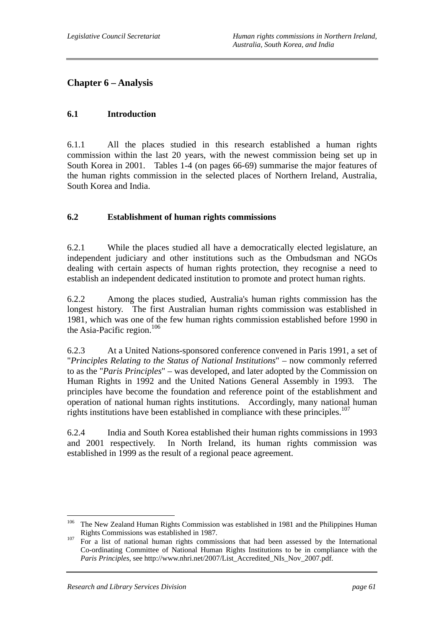## **Chapter 6 – Analysis**

## **6.1 Introduction**

6.1.1 All the places studied in this research established a human rights commission within the last 20 years, with the newest commission being set up in South Korea in 2001. Tables 1-4 (on pages 66-69) summarise the major features of the human rights commission in the selected places of Northern Ireland, Australia, South Korea and India.

#### **6.2 Establishment of human rights commissions**

6.2.1 While the places studied all have a democratically elected legislature, an independent judiciary and other institutions such as the Ombudsman and NGOs dealing with certain aspects of human rights protection, they recognise a need to establish an independent dedicated institution to promote and protect human rights.

6.2.2 Among the places studied, Australia's human rights commission has the longest history. The first Australian human rights commission was established in 1981, which was one of the few human rights commission established before 1990 in the Asia-Pacific region. $106$ 

6.2.3 At a United Nations-sponsored conference convened in Paris 1991, a set of "*Principles Relating to the Status of National Institutions*" – now commonly referred to as the "*Paris Principles*" – was developed, and later adopted by the Commission on Human Rights in 1992 and the United Nations General Assembly in 1993. The principles have become the foundation and reference point of the establishment and operation of national human rights institutions. Accordingly, many national human rights institutions have been established in compliance with these principles.<sup>107</sup>

6.2.4 India and South Korea established their human rights commissions in 1993 and 2001 respectively. In North Ireland, its human rights commission was established in 1999 as the result of a regional peace agreement.

<sup>106</sup> 106 The New Zealand Human Rights Commission was established in 1981 and the Philippines Human

Rights Commissions was established in 1987.<br><sup>107</sup> For a list of national human rights commissions that had been assessed by the International Co-ordinating Committee of National Human Rights Institutions to be in compliance with the *Paris Principles*, see http://www.nhri.net/2007/List\_Accredited\_NIs\_Nov\_2007.pdf.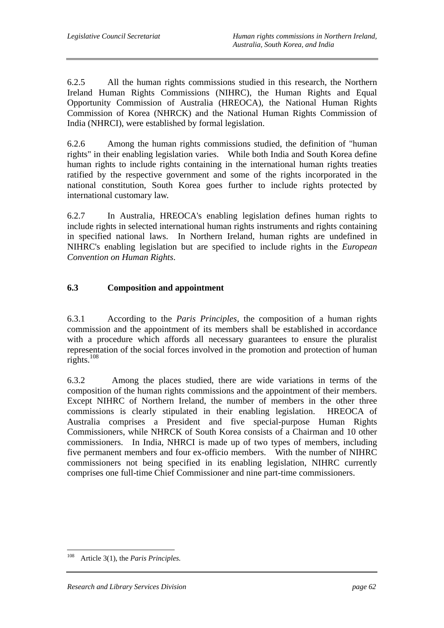6.2.5 All the human rights commissions studied in this research, the Northern Ireland Human Rights Commissions (NIHRC), the Human Rights and Equal Opportunity Commission of Australia (HREOCA), the National Human Rights Commission of Korea (NHRCK) and the National Human Rights Commission of India (NHRCI), were established by formal legislation.

6.2.6 Among the human rights commissions studied, the definition of "human rights" in their enabling legislation varies. While both India and South Korea define human rights to include rights containing in the international human rights treaties ratified by the respective government and some of the rights incorporated in the national constitution, South Korea goes further to include rights protected by international customary law.

6.2.7 In Australia, HREOCA's enabling legislation defines human rights to include rights in selected international human rights instruments and rights containing in specified national laws. In Northern Ireland, human rights are undefined in NIHRC's enabling legislation but are specified to include rights in the *European Convention on Human Rights*.

# **6.3 Composition and appointment**

6.3.1 According to the *Paris Principles*, the composition of a human rights commission and the appointment of its members shall be established in accordance with a procedure which affords all necessary guarantees to ensure the pluralist representation of the social forces involved in the promotion and protection of human rights.108

6.3.2 Among the places studied, there are wide variations in terms of the composition of the human rights commissions and the appointment of their members. Except NIHRC of Northern Ireland, the number of members in the other three commissions is clearly stipulated in their enabling legislation. HREOCA of Australia comprises a President and five special-purpose Human Rights Commissioners, while NHRCK of South Korea consists of a Chairman and 10 other commissioners. In India, NHRCI is made up of two types of members, including five permanent members and four ex-officio members. With the number of NIHRC commissioners not being specified in its enabling legislation, NIHRC currently comprises one full-time Chief Commissioner and nine part-time commissioners.

 $108\,$ Article 3(1), the *Paris Principles*.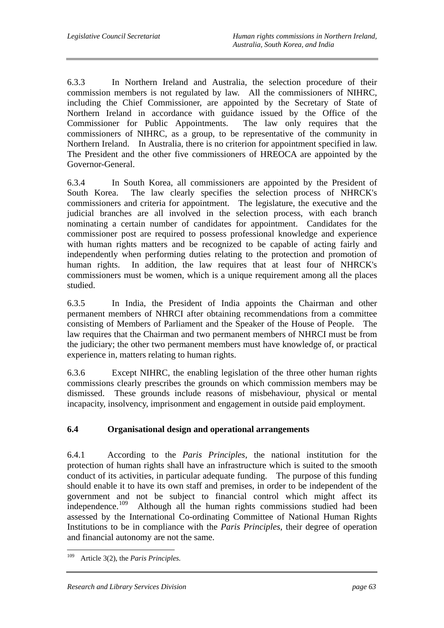6.3.3 In Northern Ireland and Australia, the selection procedure of their commission members is not regulated by law. All the commissioners of NIHRC, including the Chief Commissioner, are appointed by the Secretary of State of Northern Ireland in accordance with guidance issued by the Office of the Commissioner for Public Appointments. The law only requires that the commissioners of NIHRC, as a group, to be representative of the community in Northern Ireland. In Australia, there is no criterion for appointment specified in law. The President and the other five commissioners of HREOCA are appointed by the Governor-General.

6.3.4 In South Korea, all commissioners are appointed by the President of South Korea. The law clearly specifies the selection process of NHRCK's commissioners and criteria for appointment. The legislature, the executive and the judicial branches are all involved in the selection process, with each branch nominating a certain number of candidates for appointment. Candidates for the commissioner post are required to possess professional knowledge and experience with human rights matters and be recognized to be capable of acting fairly and independently when performing duties relating to the protection and promotion of human rights. In addition, the law requires that at least four of NHRCK's commissioners must be women, which is a unique requirement among all the places studied.

6.3.5 In India, the President of India appoints the Chairman and other permanent members of NHRCI after obtaining recommendations from a committee consisting of Members of Parliament and the Speaker of the House of People. The law requires that the Chairman and two permanent members of NHRCI must be from the judiciary; the other two permanent members must have knowledge of, or practical experience in, matters relating to human rights.

6.3.6 Except NIHRC, the enabling legislation of the three other human rights commissions clearly prescribes the grounds on which commission members may be dismissed. These grounds include reasons of misbehaviour, physical or mental incapacity, insolvency, imprisonment and engagement in outside paid employment.

## **6.4 Organisational design and operational arrangements**

6.4.1 According to the *Paris Principles*, the national institution for the protection of human rights shall have an infrastructure which is suited to the smooth conduct of its activities, in particular adequate funding. The purpose of this funding should enable it to have its own staff and premises, in order to be independent of the government and not be subject to financial control which might affect its independence.<sup>109</sup> Although all the human rights commissions studied had been assessed by the International Co-ordinating Committee of National Human Rights Institutions to be in compliance with the *Paris Principles*, their degree of operation and financial autonomy are not the same.

 $\overline{a}$ 

<sup>109</sup> Article 3(2), the *Paris Principles.*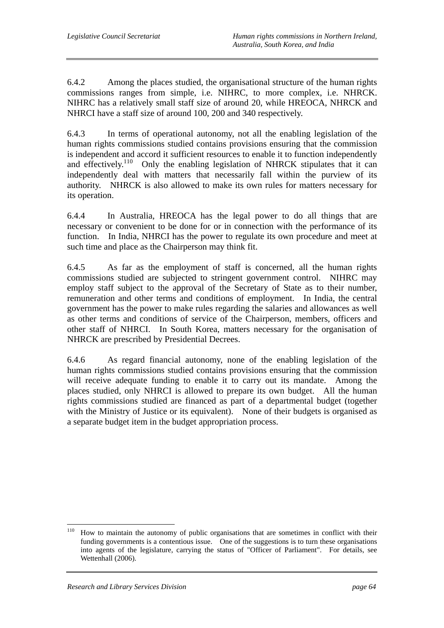6.4.2 Among the places studied, the organisational structure of the human rights commissions ranges from simple, i.e. NIHRC, to more complex, i.e. NHRCK. NIHRC has a relatively small staff size of around 20, while HREOCA, NHRCK and NHRCI have a staff size of around 100, 200 and 340 respectively.

6.4.3 In terms of operational autonomy, not all the enabling legislation of the human rights commissions studied contains provisions ensuring that the commission is independent and accord it sufficient resources to enable it to function independently and effectively.<sup>110</sup> Only the enabling legislation of NHRCK stipulates that it can independently deal with matters that necessarily fall within the purview of its authority. NHRCK is also allowed to make its own rules for matters necessary for its operation.

6.4.4 In Australia, HREOCA has the legal power to do all things that are necessary or convenient to be done for or in connection with the performance of its function. In India, NHRCI has the power to regulate its own procedure and meet at such time and place as the Chairperson may think fit.

6.4.5 As far as the employment of staff is concerned, all the human rights commissions studied are subjected to stringent government control. NIHRC may employ staff subject to the approval of the Secretary of State as to their number, remuneration and other terms and conditions of employment. In India, the central government has the power to make rules regarding the salaries and allowances as well as other terms and conditions of service of the Chairperson, members, officers and other staff of NHRCI. In South Korea, matters necessary for the organisation of NHRCK are prescribed by Presidential Decrees.

6.4.6 As regard financial autonomy, none of the enabling legislation of the human rights commissions studied contains provisions ensuring that the commission will receive adequate funding to enable it to carry out its mandate. Among the places studied, only NHRCI is allowed to prepare its own budget. All the human rights commissions studied are financed as part of a departmental budget (together with the Ministry of Justice or its equivalent). None of their budgets is organised as a separate budget item in the budget appropriation process.

<sup>110</sup> 110 How to maintain the autonomy of public organisations that are sometimes in conflict with their funding governments is a contentious issue. One of the suggestions is to turn these organisations into agents of the legislature, carrying the status of "Officer of Parliament". For details, see Wettenhall (2006).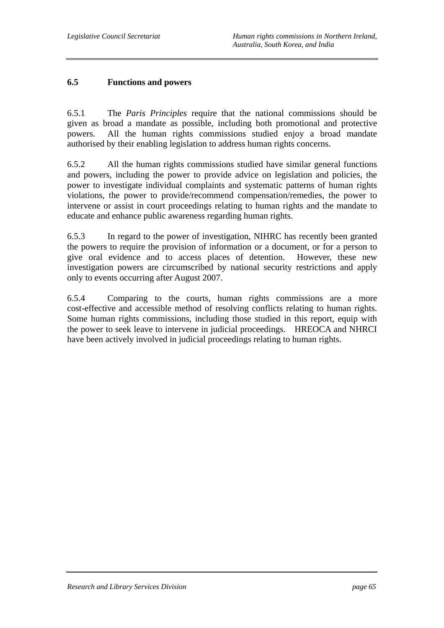### **6.5 Functions and powers**

6.5.1 The *Paris Principles* require that the national commissions should be given as broad a mandate as possible, including both promotional and protective powers. All the human rights commissions studied enjoy a broad mandate authorised by their enabling legislation to address human rights concerns.

6.5.2 All the human rights commissions studied have similar general functions and powers, including the power to provide advice on legislation and policies, the power to investigate individual complaints and systematic patterns of human rights violations, the power to provide/recommend compensation/remedies, the power to intervene or assist in court proceedings relating to human rights and the mandate to educate and enhance public awareness regarding human rights.

6.5.3 In regard to the power of investigation, NIHRC has recently been granted the powers to require the provision of information or a document, or for a person to give oral evidence and to access places of detention. However, these new investigation powers are circumscribed by national security restrictions and apply only to events occurring after August 2007.

6.5.4 Comparing to the courts, human rights commissions are a more cost-effective and accessible method of resolving conflicts relating to human rights. Some human rights commissions, including those studied in this report, equip with the power to seek leave to intervene in judicial proceedings. HREOCA and NHRCI have been actively involved in judicial proceedings relating to human rights.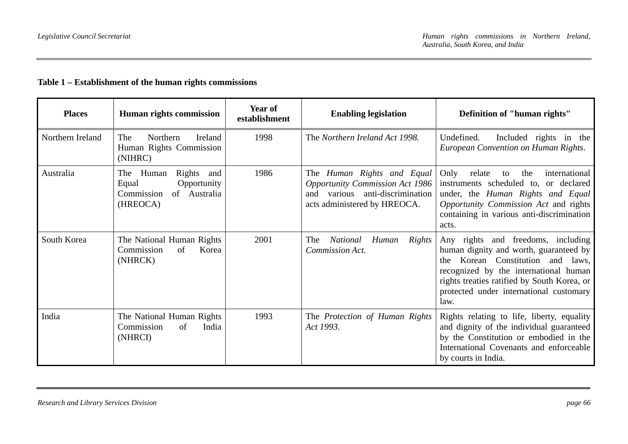| Table 1 – Establishment of the human rights commissions |  |  |  |
|---------------------------------------------------------|--|--|--|
|---------------------------------------------------------|--|--|--|

| <b>Places</b>    | Human rights commission                                                                         | Year of<br>establishment | <b>Enabling legislation</b>                                                                                                                | Definition of "human rights"                                                                                                                                                                                                                                     |
|------------------|-------------------------------------------------------------------------------------------------|--------------------------|--------------------------------------------------------------------------------------------------------------------------------------------|------------------------------------------------------------------------------------------------------------------------------------------------------------------------------------------------------------------------------------------------------------------|
| Northern Ireland | The<br>Northern<br>Ireland<br>Human Rights Commission<br>(NIHRC)                                | 1998                     | The Northern Ireland Act 1998.                                                                                                             | Undefined.<br>Included rights in the<br>European Convention on Human Rights.                                                                                                                                                                                     |
| Australia        | Rights<br>Human<br>The<br>and<br>Opportunity<br>Equal<br>Commission<br>of Australia<br>(HREOCA) | 1986                     | The Human Rights and Equal<br><b>Opportunity Commission Act 1986</b><br>various anti-discrimination<br>and<br>acts administered by HREOCA. | Only<br>relate<br>the<br>to<br>international<br>instruments scheduled to, or declared<br>under, the Human Rights and Equal<br>Opportunity Commission Act and rights<br>containing in various anti-discrimination<br>acts.                                        |
| South Korea      | The National Human Rights<br>Commission<br>of<br>Korea<br>(NHRCK)                               | 2001                     | National<br>Human<br>Rights<br>The <sub>1</sub><br>Commission Act.                                                                         | Any rights and freedoms, including<br>human dignity and worth, guaranteed by<br>Korean Constitution and laws,<br>the.<br>recognized by the international human<br>rights treaties ratified by South Korea, or<br>protected under international customary<br>law. |
| India            | The National Human Rights<br>Commission<br>of<br>India<br>(NHRCI)                               | 1993                     | The Protection of Human Rights<br>Act 1993.                                                                                                | Rights relating to life, liberty, equality<br>and dignity of the individual guaranteed<br>by the Constitution or embodied in the<br>International Covenants and enforceable<br>by courts in India.                                                               |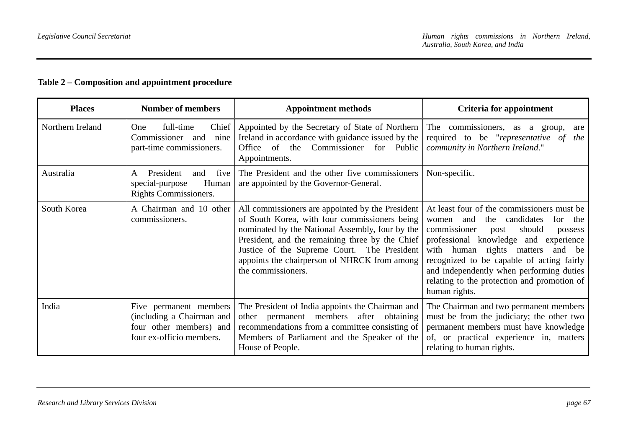| <b>Places</b>    | <b>Number of members</b>                                                                                   | <b>Appointment methods</b>                                                                                                                                                                                                                                                                                                   | <b>Criteria for appointment</b>                                                                                                                                                                                                                                                                                                                                                  |
|------------------|------------------------------------------------------------------------------------------------------------|------------------------------------------------------------------------------------------------------------------------------------------------------------------------------------------------------------------------------------------------------------------------------------------------------------------------------|----------------------------------------------------------------------------------------------------------------------------------------------------------------------------------------------------------------------------------------------------------------------------------------------------------------------------------------------------------------------------------|
| Northern Ireland | Chief  <br>full-time<br>One<br>Commissioner<br>and<br>nine<br>part-time commissioners.                     | Appointed by the Secretary of State of Northern<br>Ireland in accordance with guidance issued by the<br>Commissioner<br>Office of<br>the<br>for Public<br>Appointments.                                                                                                                                                      | The commissioners, as a<br>group,<br>are<br>required to be "representative of<br>the<br>community in Northern Ireland."                                                                                                                                                                                                                                                          |
| Australia        | President<br>five<br>and<br>A<br>Human<br>special-purpose<br>Rights Commissioners.                         | The President and the other five commissioners<br>are appointed by the Governor-General.                                                                                                                                                                                                                                     | Non-specific.                                                                                                                                                                                                                                                                                                                                                                    |
| South Korea      | A Chairman and 10 other<br>commissioners.                                                                  | All commissioners are appointed by the President<br>of South Korea, with four commissioners being<br>nominated by the National Assembly, four by the<br>President, and the remaining three by the Chief<br>Justice of the Supreme Court. The President<br>appoints the chairperson of NHRCK from among<br>the commissioners. | At least four of the commissioners must be<br>the candidates<br>and<br>women<br>for the<br>commissioner<br>should<br>post<br>possess<br>professional knowledge and experience<br>rights matters<br>with human<br>and be<br>recognized to be capable of acting fairly<br>and independently when performing duties<br>relating to the protection and promotion of<br>human rights. |
| India            | Five permanent members<br>(including a Chairman and<br>four other members) and<br>four ex-officio members. | The President of India appoints the Chairman and<br>other permanent members after obtaining<br>recommendations from a committee consisting of<br>Members of Parliament and the Speaker of the<br>House of People.                                                                                                            | The Chairman and two permanent members<br>must be from the judiciary; the other two<br>permanent members must have knowledge<br>of, or practical experience in, matters<br>relating to human rights.                                                                                                                                                                             |

# **Table 2 – Composition and appointment procedure**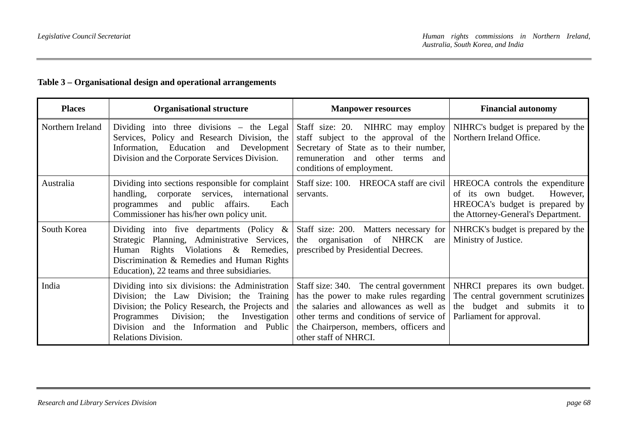# **Table 3 – Organisational design and operational arrangements**

| <b>Places</b>    | <b>Organisational structure</b>                                                                                                                                                                                                                                  | <b>Manpower resources</b>                                                                                                                                                                                                                   | <b>Financial autonomy</b>                                                                                                        |
|------------------|------------------------------------------------------------------------------------------------------------------------------------------------------------------------------------------------------------------------------------------------------------------|---------------------------------------------------------------------------------------------------------------------------------------------------------------------------------------------------------------------------------------------|----------------------------------------------------------------------------------------------------------------------------------|
| Northern Ireland | Dividing into three divisions – the Legal Staff size: 20. NIHRC may employ NIHRC's budget is prepared by the<br>Services, Policy and Research Division, the<br>Information, Education<br>Development<br>and<br>Division and the Corporate Services Division.     | staff subject to the approval of the Northern Ireland Office.<br>Secretary of State as to their number,<br>remuneration and other<br>terms<br>and<br>conditions of employment.                                                              |                                                                                                                                  |
| Australia        | Dividing into sections responsible for complaint<br>handling, corporate services, international<br>affairs.<br>and public<br>Each<br>programmes<br>Commissioner has his/her own policy unit.                                                                     | Staff size: 100. HREOCA staff are civil   HREOCA controls the expenditure<br>servants.                                                                                                                                                      | of its own budget.<br>However,<br>HREOCA's budget is prepared by<br>the Attorney-General's Department.                           |
| South Korea      | Dividing into five departments (Policy $\&$<br>Planning, Administrative Services,<br>Strategic<br>Rights Violations & Remedies,<br>Human<br>Discrimination & Remedies and Human Rights<br>Education), 22 teams and three subsidiaries.                           | Staff size: 200. Matters necessary for<br>organisation of NHRCK<br>the<br>are<br>prescribed by Presidential Decrees.                                                                                                                        | NHRCK's budget is prepared by the<br>Ministry of Justice.                                                                        |
| India            | Dividing into six divisions: the Administration<br>Division; the Law Division; the Training<br>Division; the Policy Research, the Projects and<br>Division; the<br>Investigation<br>Programmes<br>Division and the Information and Public<br>Relations Division. | Staff size: 340. The central government  <br>has the power to make rules regarding<br>the salaries and allowances as well as<br>other terms and conditions of service of<br>the Chairperson, members, officers and<br>other staff of NHRCI. | NHRCI prepares its own budget.<br>The central government scrutinizes<br>the budget and submits it to<br>Parliament for approval. |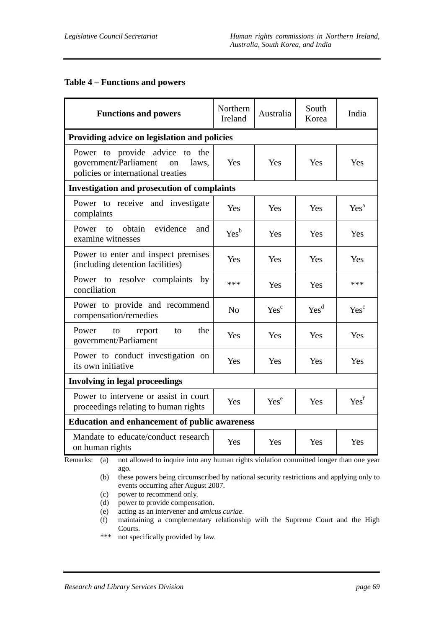#### **Table 4 – Functions and powers**

| <b>Functions and powers</b>                                                                                                                                   | Northern<br>Ireland | Australia        | South<br>Korea   | India            |  |  |
|---------------------------------------------------------------------------------------------------------------------------------------------------------------|---------------------|------------------|------------------|------------------|--|--|
| Providing advice on legislation and policies                                                                                                                  |                     |                  |                  |                  |  |  |
| Power to provide advice to<br>the<br>government/Parliament<br>on<br>laws,<br>policies or international treaties                                               | Yes                 | Yes              | Yes              | Yes              |  |  |
| <b>Investigation and prosecution of complaints</b>                                                                                                            |                     |                  |                  |                  |  |  |
| Power to receive and investigate<br>complaints                                                                                                                | Yes                 | Yes              | Yes              | Yes <sup>a</sup> |  |  |
| obtain<br>Power to<br>evidence<br>and<br>examine witnesses                                                                                                    | Yes <sup>b</sup>    | Yes              | Yes              | Yes              |  |  |
| Power to enter and inspect premises<br>(including detention facilities)                                                                                       | Yes                 | Yes              | Yes              | Yes              |  |  |
| Power to resolve complaints<br>by<br>conciliation                                                                                                             | ***                 | Yes              | Yes              | ***              |  |  |
| Power to provide and recommend<br>compensation/remedies                                                                                                       | N <sub>o</sub>      | Yes <sup>c</sup> | Yes <sup>d</sup> | Yes <sup>c</sup> |  |  |
| Power<br>the<br>to<br>report<br>to<br>government/Parliament                                                                                                   | Yes                 | Yes              | Yes              | Yes              |  |  |
| Power to conduct investigation on<br>its own initiative                                                                                                       | Yes                 | Yes              | Yes              | Yes              |  |  |
| <b>Involving in legal proceedings</b>                                                                                                                         |                     |                  |                  |                  |  |  |
| Power to intervene or assist in court<br>proceedings relating to human rights                                                                                 | Yes                 | Yes <sup>e</sup> | Yes              | Yes <sup>f</sup> |  |  |
| <b>Education and enhancement of public awareness</b>                                                                                                          |                     |                  |                  |                  |  |  |
| Mandate to educate/conduct research<br>on human rights<br>Remarks: (a) not allowed to inquire into any human rights violation committed longer than one year. | Yes                 | Yes              | Yes              | Yes              |  |  |

Remarks: (a) not allowed to inquire into any human rights violation committed longer than one year ago.

> (b) these powers being circumscribed by national security restrictions and applying only to events occurring after August 2007.

- (c) power to recommend only.
- (d) power to provide compensation.
- (e) acting as an intervener and *amicus curiae*.
- (f) maintaining a complementary relationship with the Supreme Court and the High Courts.
- \*\*\* not specifically provided by law.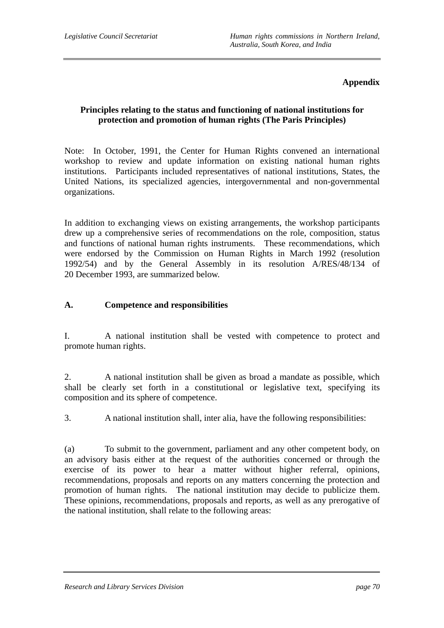# **Appendix**

# **Principles relating to the status and functioning of national institutions for protection and promotion of human rights (The Paris Principles)**

Note: In October, 1991, the Center for Human Rights convened an international workshop to review and update information on existing national human rights institutions. Participants included representatives of national institutions, States, the United Nations, its specialized agencies, intergovernmental and non-governmental organizations.

In addition to exchanging views on existing arrangements, the workshop participants drew up a comprehensive series of recommendations on the role, composition, status and functions of national human rights instruments. These recommendations, which were endorsed by the Commission on Human Rights in March 1992 (resolution 1992/54) and by the General Assembly in its resolution A/RES/48/134 of 20 December 1993, are summarized below.

# **A. Competence and responsibilities**

I. A national institution shall be vested with competence to protect and promote human rights.

2. A national institution shall be given as broad a mandate as possible, which shall be clearly set forth in a constitutional or legislative text, specifying its composition and its sphere of competence.

3. A national institution shall, inter alia, have the following responsibilities:

(a) To submit to the government, parliament and any other competent body, on an advisory basis either at the request of the authorities concerned or through the exercise of its power to hear a matter without higher referral, opinions, recommendations, proposals and reports on any matters concerning the protection and promotion of human rights. The national institution may decide to publicize them. These opinions, recommendations, proposals and reports, as well as any prerogative of the national institution, shall relate to the following areas: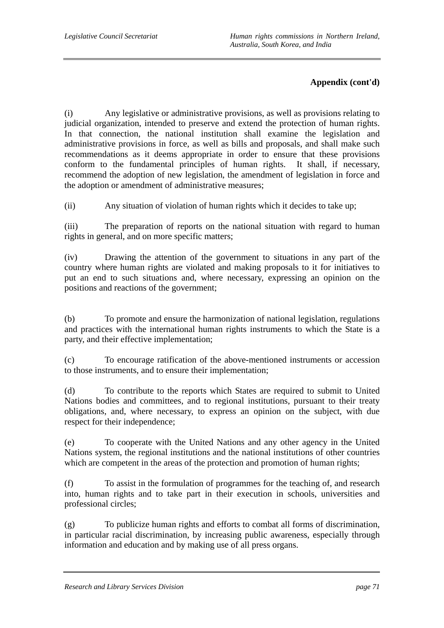(i) Any legislative or administrative provisions, as well as provisions relating to judicial organization, intended to preserve and extend the protection of human rights. In that connection, the national institution shall examine the legislation and administrative provisions in force, as well as bills and proposals, and shall make such recommendations as it deems appropriate in order to ensure that these provisions conform to the fundamental principles of human rights. It shall, if necessary, recommend the adoption of new legislation, the amendment of legislation in force and the adoption or amendment of administrative measures;

(ii) Any situation of violation of human rights which it decides to take up;

(iii) The preparation of reports on the national situation with regard to human rights in general, and on more specific matters;

(iv) Drawing the attention of the government to situations in any part of the country where human rights are violated and making proposals to it for initiatives to put an end to such situations and, where necessary, expressing an opinion on the positions and reactions of the government;

(b) To promote and ensure the harmonization of national legislation, regulations and practices with the international human rights instruments to which the State is a party, and their effective implementation;

(c) To encourage ratification of the above-mentioned instruments or accession to those instruments, and to ensure their implementation;

(d) To contribute to the reports which States are required to submit to United Nations bodies and committees, and to regional institutions, pursuant to their treaty obligations, and, where necessary, to express an opinion on the subject, with due respect for their independence;

(e) To cooperate with the United Nations and any other agency in the United Nations system, the regional institutions and the national institutions of other countries which are competent in the areas of the protection and promotion of human rights;

(f) To assist in the formulation of programmes for the teaching of, and research into, human rights and to take part in their execution in schools, universities and professional circles;

(g) To publicize human rights and efforts to combat all forms of discrimination, in particular racial discrimination, by increasing public awareness, especially through information and education and by making use of all press organs.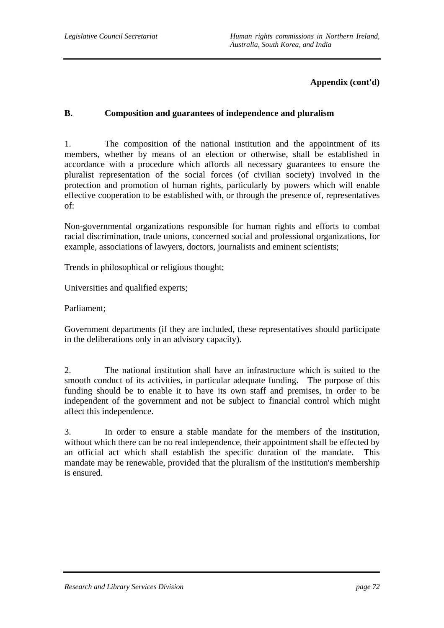### **B. Composition and guarantees of independence and pluralism**

1. The composition of the national institution and the appointment of its members, whether by means of an election or otherwise, shall be established in accordance with a procedure which affords all necessary guarantees to ensure the pluralist representation of the social forces (of civilian society) involved in the protection and promotion of human rights, particularly by powers which will enable effective cooperation to be established with, or through the presence of, representatives of:

Non-governmental organizations responsible for human rights and efforts to combat racial discrimination, trade unions, concerned social and professional organizations, for example, associations of lawyers, doctors, journalists and eminent scientists;

Trends in philosophical or religious thought;

Universities and qualified experts;

Parliament;

Government departments (if they are included, these representatives should participate in the deliberations only in an advisory capacity).

2. The national institution shall have an infrastructure which is suited to the smooth conduct of its activities, in particular adequate funding. The purpose of this funding should be to enable it to have its own staff and premises, in order to be independent of the government and not be subject to financial control which might affect this independence.

3. In order to ensure a stable mandate for the members of the institution, without which there can be no real independence, their appointment shall be effected by an official act which shall establish the specific duration of the mandate. This mandate may be renewable, provided that the pluralism of the institution's membership is ensured.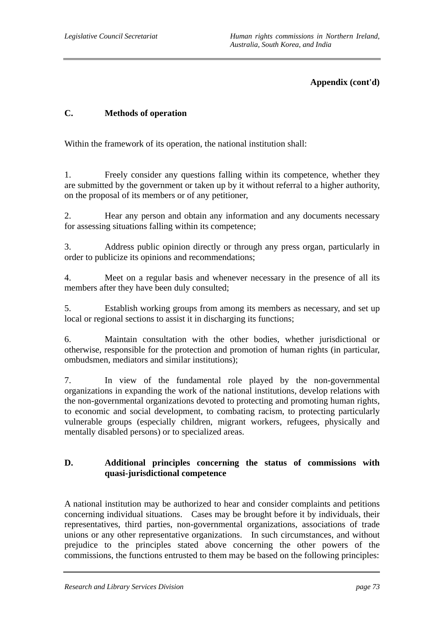### **C. Methods of operation**

Within the framework of its operation, the national institution shall:

1. Freely consider any questions falling within its competence, whether they are submitted by the government or taken up by it without referral to a higher authority, on the proposal of its members or of any petitioner,

2. Hear any person and obtain any information and any documents necessary for assessing situations falling within its competence;

3. Address public opinion directly or through any press organ, particularly in order to publicize its opinions and recommendations;

4. Meet on a regular basis and whenever necessary in the presence of all its members after they have been duly consulted;

5. Establish working groups from among its members as necessary, and set up local or regional sections to assist it in discharging its functions;

6. Maintain consultation with the other bodies, whether jurisdictional or otherwise, responsible for the protection and promotion of human rights (in particular, ombudsmen, mediators and similar institutions);

7. In view of the fundamental role played by the non-governmental organizations in expanding the work of the national institutions, develop relations with the non-governmental organizations devoted to protecting and promoting human rights, to economic and social development, to combating racism, to protecting particularly vulnerable groups (especially children, migrant workers, refugees, physically and mentally disabled persons) or to specialized areas.

### **D. Additional principles concerning the status of commissions with quasi-jurisdictional competence**

A national institution may be authorized to hear and consider complaints and petitions concerning individual situations. Cases may be brought before it by individuals, their representatives, third parties, non-governmental organizations, associations of trade unions or any other representative organizations. In such circumstances, and without prejudice to the principles stated above concerning the other powers of the commissions, the functions entrusted to them may be based on the following principles: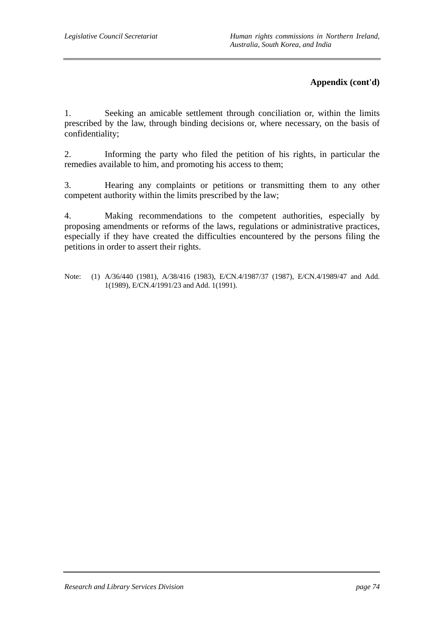1. Seeking an amicable settlement through conciliation or, within the limits prescribed by the law, through binding decisions or, where necessary, on the basis of confidentiality;

2. Informing the party who filed the petition of his rights, in particular the remedies available to him, and promoting his access to them;

3. Hearing any complaints or petitions or transmitting them to any other competent authority within the limits prescribed by the law;

4. Making recommendations to the competent authorities, especially by proposing amendments or reforms of the laws, regulations or administrative practices, especially if they have created the difficulties encountered by the persons filing the petitions in order to assert their rights.

Note: (1) A/36/440 (1981), A/38/416 (1983), E/CN.4/1987/37 (1987), E/CN.4/1989/47 and Add. 1(1989), E/CN.4/1991/23 and Add. 1(1991).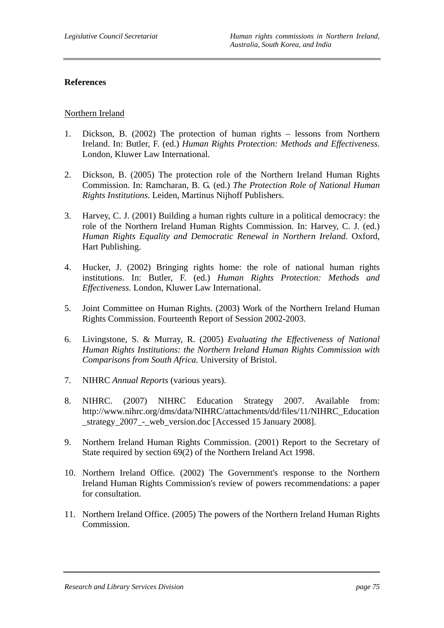## **References**

### Northern Ireland

- 1. Dickson, B. (2002) The protection of human rights lessons from Northern Ireland. In: Butler, F. (ed.) *Human Rights Protection: Methods and Effectiveness*. London, Kluwer Law International.
- 2. Dickson, B. (2005) The protection role of the Northern Ireland Human Rights Commission. In: Ramcharan, B. G. (ed.) *The Protection Role of National Human Rights Institutions*. Leiden, Martinus Nijhoff Publishers.
- 3. Harvey, C. J. (2001) Building a human rights culture in a political democracy: the role of the Northern Ireland Human Rights Commission. In: Harvey, C. J. (ed.) *Human Rights Equality and Democratic Renewal in Northern Ireland*. Oxford, Hart Publishing.
- 4. Hucker, J. (2002) Bringing rights home: the role of national human rights institutions. In: Butler, F. (ed.) *Human Rights Protection: Methods and Effectiveness*. London, Kluwer Law International.
- 5. Joint Committee on Human Rights. (2003) Work of the Northern Ireland Human Rights Commission. Fourteenth Report of Session 2002-2003.
- 6. Livingstone, S. & Murray, R. (2005) *Evaluating the Effectiveness of National Human Rights Institutions: the Northern Ireland Human Rights Commission with Comparisons from South Africa.* University of Bristol.
- 7. NIHRC *Annual Reports* (various years).
- 8. NIHRC. (2007) NIHRC Education Strategy 2007. Available from: http://www.nihrc.org/dms/data/NIHRC/attachments/dd/files/11/NIHRC\_Education \_strategy\_2007\_-\_web\_version.doc [Accessed 15 January 2008].
- 9. Northern Ireland Human Rights Commission. (2001) Report to the Secretary of State required by section 69(2) of the Northern Ireland Act 1998.
- 10. Northern Ireland Office. (2002) The Government's response to the Northern Ireland Human Rights Commission's review of powers recommendations: a paper for consultation.
- 11. Northern Ireland Office. (2005) The powers of the Northern Ireland Human Rights Commission.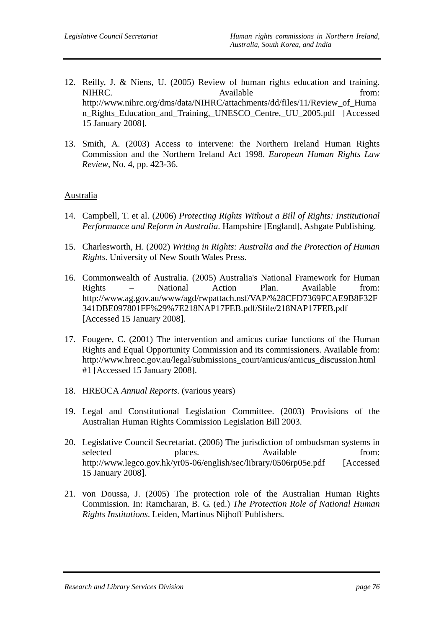- 12. Reilly, J. & Niens, U. (2005) Review of human rights education and training. NIHRC. Available from: http://www.nihrc.org/dms/data/NIHRC/attachments/dd/files/11/Review\_of\_Huma n\_Rights\_Education\_and\_Training,\_UNESCO\_Centre,\_UU\_2005.pdf [Accessed 15 January 2008].
- 13. Smith, A. (2003) Access to intervene: the Northern Ireland Human Rights Commission and the Northern Ireland Act 1998. *European Human Rights Law Review*, No. 4, pp. 423-36.

# Australia

- 14. Campbell, T. et al. (2006) *Protecting Rights Without a Bill of Rights: Institutional Performance and Reform in Australia*. Hampshire [England], Ashgate Publishing.
- 15. Charlesworth, H. (2002) *Writing in Rights: Australia and the Protection of Human Rights*. University of New South Wales Press.
- 16. Commonwealth of Australia. (2005) Australia's National Framework for Human Rights – National Action Plan. Available from: http://www.ag.gov.au/www/agd/rwpattach.nsf/VAP/%28CFD7369FCAE9B8F32F 341DBE097801FF%29%7E218NAP17FEB.pdf/\$file/218NAP17FEB.pdf [Accessed 15 January 2008].
- 17. Fougere, C. (2001) The intervention and amicus curiae functions of the Human Rights and Equal Opportunity Commission and its commissioners. Available from: http://www.hreoc.gov.au/legal/submissions\_court/amicus/amicus\_discussion.html #1 [Accessed 15 January 2008].
- 18. HREOCA *Annual Reports*. (various years)
- 19. Legal and Constitutional Legislation Committee. (2003) Provisions of the Australian Human Rights Commission Legislation Bill 2003.
- 20. Legislative Council Secretariat. (2006) The jurisdiction of ombudsman systems in selected places. Available from: http://www.legco.gov.hk/yr05-06/english/sec/library/0506rp05e.pdf [Accessed] 15 January 2008].
- 21. von Doussa, J. (2005) The protection role of the Australian Human Rights Commission. In: Ramcharan, B. G. (ed.) *The Protection Role of National Human Rights Institutions*. Leiden, Martinus Nijhoff Publishers.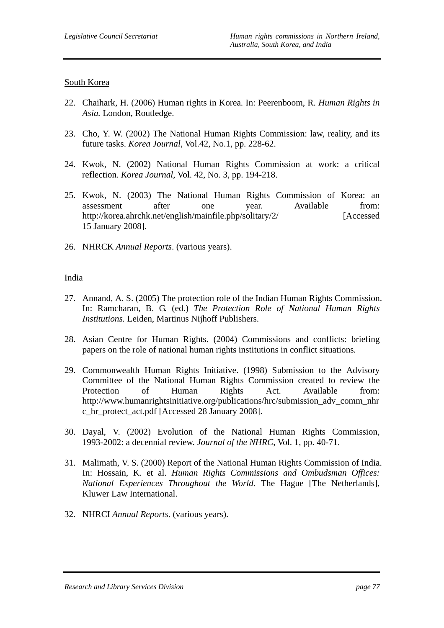#### South Korea

- 22. Chaihark, H. (2006) Human rights in Korea. In: Peerenboom, R. *Human Rights in Asia.* London, Routledge.
- 23. Cho, Y. W. (2002) The National Human Rights Commission: law, reality, and its future tasks. *Korea Journal*, Vol.42, No.1, pp. 228-62.
- 24. Kwok, N. (2002) National Human Rights Commission at work: a critical reflection. *Korea Journal*, Vol. 42, No. 3, pp. 194-218.
- 25. Kwok, N. (2003) The National Human Rights Commission of Korea: an assessment after one year. Available from: http://korea.ahrchk.net/english/mainfile.php/solitary/2/ [Accessed 15 January 2008].
- 26. NHRCK *Annual Reports*. (various years).

#### India

- 27. Annand, A. S. (2005) The protection role of the Indian Human Rights Commission. In: Ramcharan, B. G. (ed.) *The Protection Role of National Human Rights Institutions.* Leiden, Martinus Nijhoff Publishers.
- 28. Asian Centre for Human Rights. (2004) Commissions and conflicts: briefing papers on the role of national human rights institutions in conflict situations*.*
- 29. Commonwealth Human Rights Initiative. (1998) Submission to the Advisory Committee of the National Human Rights Commission created to review the Protection of Human Rights Act. Available from: http://www.humanrightsinitiative.org/publications/hrc/submission\_adv\_comm\_nhr c\_hr\_protect\_act.pdf [Accessed 28 January 2008].
- 30. Dayal, V. (2002) Evolution of the National Human Rights Commission, 1993-2002: a decennial review. *Journal of the NHRC*, Vol. 1, pp. 40-71.
- 31. Malimath, V. S. (2000) Report of the National Human Rights Commission of India. In: Hossain, K. et al. *Human Rights Commissions and Ombudsman Offices: National Experiences Throughout the World.* The Hague [The Netherlands], Kluwer Law International.
- 32. NHRCI *Annual Reports*. (various years).